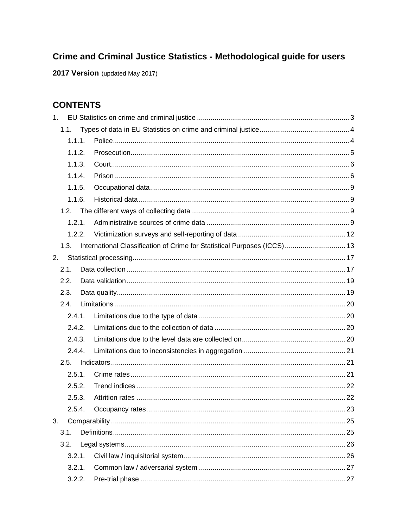# Crime and Criminal Justice Statistics - Methodological guide for users

2017 Version (updated May 2017)

# **CONTENTS**

| 1.     |                                                                          |  |
|--------|--------------------------------------------------------------------------|--|
| 1.1.   |                                                                          |  |
| 1.1.1. |                                                                          |  |
| 1.1.2. |                                                                          |  |
| 1.1.3. |                                                                          |  |
| 1.1.4. |                                                                          |  |
| 1.1.5. |                                                                          |  |
| 1.1.6. |                                                                          |  |
| 1.2.   |                                                                          |  |
| 1.2.1  |                                                                          |  |
| 1.2.2. |                                                                          |  |
| 1.3.   | International Classification of Crime for Statistical Purposes (ICCS) 13 |  |
| 2.     |                                                                          |  |
| 2.1.   |                                                                          |  |
| 2.2.   |                                                                          |  |
| 2.3.   |                                                                          |  |
| 2.4.   |                                                                          |  |
| 2.4.1. |                                                                          |  |
| 2.4.2. |                                                                          |  |
| 2.4.3. |                                                                          |  |
| 2.4.4. |                                                                          |  |
| 2.5.   |                                                                          |  |
| 2.5.1. |                                                                          |  |
| 2.5.2. |                                                                          |  |
| 2.5.3. |                                                                          |  |
| 2.5.4. |                                                                          |  |
| 3.     |                                                                          |  |
| 3.1.   |                                                                          |  |
| 3.2.   |                                                                          |  |
| 3.2.1. |                                                                          |  |
| 3.2.1. |                                                                          |  |
| 3.2.2. |                                                                          |  |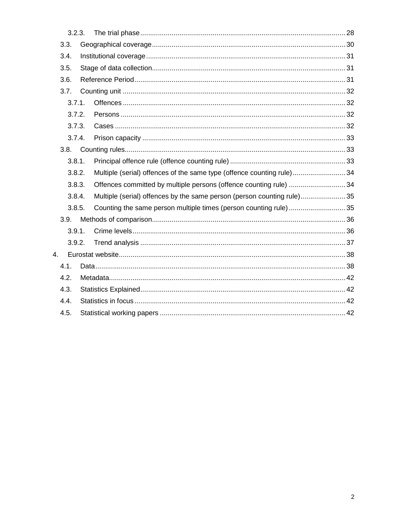| 3.2.3. |                                                                        |  |
|--------|------------------------------------------------------------------------|--|
| 3.3.   |                                                                        |  |
| 3.4.   |                                                                        |  |
| 3.5.   |                                                                        |  |
| 3.6.   |                                                                        |  |
| 3.7.   |                                                                        |  |
| 3.7.1. |                                                                        |  |
| 3.7.2. |                                                                        |  |
| 3.7.3. |                                                                        |  |
| 3.7.4. |                                                                        |  |
|        |                                                                        |  |
| 3.8.1. |                                                                        |  |
| 3.8.2. | Multiple (serial) offences of the same type (offence counting rule)34  |  |
| 3.8.3. | Offences committed by multiple persons (offence counting rule)  34     |  |
| 3.8.4. | Multiple (serial) offences by the same person (person counting rule)35 |  |
| 3.8.5. | Counting the same person multiple times (person counting rule)35       |  |
| 3.9.   |                                                                        |  |
| 3.9.1. |                                                                        |  |
| 3.9.2. |                                                                        |  |
| 4.     |                                                                        |  |
| 4.1.   |                                                                        |  |
| 4.2.   |                                                                        |  |
| 4.3.   |                                                                        |  |
| 4.4.   |                                                                        |  |
| 4.5.   |                                                                        |  |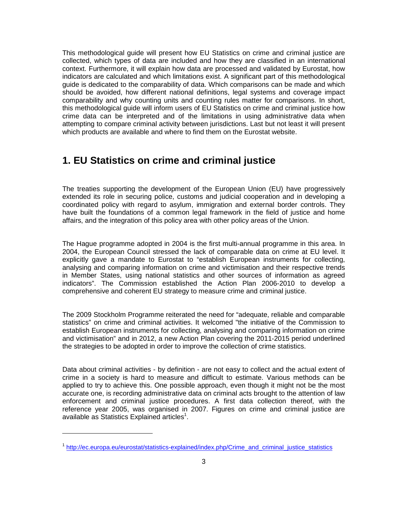This methodological guide will present how EU Statistics on crime and criminal justice are collected, which types of data are included and how they are classified in an international context. Furthermore, it will explain how data are processed and validated by Eurostat, how indicators are calculated and which limitations exist. A significant part of this methodological guide is dedicated to the comparability of data. Which comparisons can be made and which should be avoided, how different national definitions, legal systems and coverage impact comparability and why counting units and counting rules matter for comparisons. In short, this methodological guide will inform users of EU Statistics on crime and criminal justice how crime data can be interpreted and of the limitations in using administrative data when attempting to compare criminal activity between jurisdictions. Last but not least it will present which products are available and where to find them on the Eurostat website.

# **1. EU Statistics on crime and criminal justice**

The treaties supporting the development of the European Union (EU) have progressively extended its role in securing police, customs and judicial cooperation and in developing a coordinated policy with regard to asylum, immigration and external border controls. They have built the foundations of a common legal framework in the field of justice and home affairs, and the integration of this policy area with other policy areas of the Union.

The Hague programme adopted in 2004 is the first multi-annual programme in this area. In 2004, the European Council stressed the lack of comparable data on crime at EU level. It explicitly gave a mandate to Eurostat to "establish European instruments for collecting, analysing and comparing information on crime and victimisation and their respective trends in Member States, using national statistics and other sources of information as agreed indicators". The Commission established the Action Plan 2006-2010 to develop a comprehensive and coherent EU strategy to measure crime and criminal justice.

The 2009 Stockholm Programme reiterated the need for "adequate, reliable and comparable statistics" on crime and criminal activities. It welcomed "the initiative of the Commission to establish European instruments for collecting, analysing and comparing information on crime and victimisation" and in 2012, a new Action Plan covering the 2011-2015 period underlined the strategies to be adopted in order to improve the collection of crime statistics.

Data about criminal activities - by definition - are not easy to collect and the actual extent of crime in a society is hard to measure and difficult to estimate. Various methods can be applied to try to achieve this. One possible approach, even though it might not be the most accurate one, is recording administrative data on criminal acts brought to the attention of law enforcement and criminal justice procedures. A first data collection thereof, with the reference year 2005, was organised in 2007. Figures on crime and criminal justice are available as Statistics Explained articles<sup>1</sup>.

<sup>&</sup>lt;sup>1</sup> http://ec.europa.eu/eurostat/statistics-explained/index.php/Crime\_and\_criminal\_justice\_statistics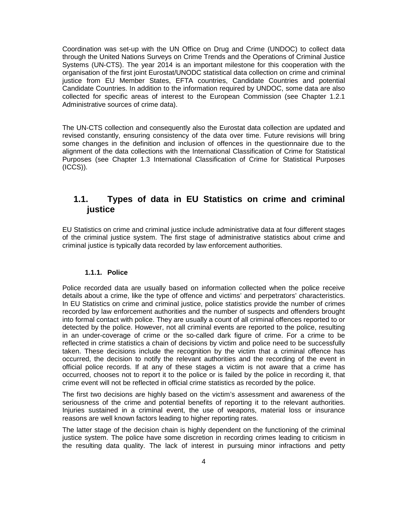Coordination was set-up with the UN Office on Drug and Crime (UNDOC) to collect data through the United Nations Surveys on Crime Trends and the Operations of Criminal Justice Systems (UN-CTS). The year 2014 is an important milestone for this cooperation with the organisation of the first joint Eurostat/UNODC statistical data collection on crime and criminal justice from EU Member States, EFTA countries, Candidate Countries and potential Candidate Countries. In addition to the information required by UNDOC, some data are also collected for specific areas of interest to the European Commission (see Chapter 1.2.1 Administrative sources of crime data).

The UN-CTS collection and consequently also the Eurostat data collection are updated and revised constantly, ensuring consistency of the data over time. Future revisions will bring some changes in the definition and inclusion of offences in the questionnaire due to the alignment of the data collections with the International Classification of Crime for Statistical Purposes (see Chapter 1.3 International Classification of Crime for Statistical Purposes (ICCS)).

### **1.1. Types of data in EU Statistics on crime and criminal justice**

EU Statistics on crime and criminal justice include administrative data at four different stages of the criminal justice system. The first stage of administrative statistics about crime and criminal justice is typically data recorded by law enforcement authorities.

#### **1.1.1. Police**

Police recorded data are usually based on information collected when the police receive details about a crime, like the type of offence and victims' and perpetrators' characteristics. In EU Statistics on crime and criminal justice, police statistics provide the number of crimes recorded by law enforcement authorities and the number of suspects and offenders brought into formal contact with police. They are usually a count of all criminal offences reported to or detected by the police. However, not all criminal events are reported to the police, resulting in an under-coverage of crime or the so-called dark figure of crime. For a crime to be reflected in crime statistics a chain of decisions by victim and police need to be successfully taken. These decisions include the recognition by the victim that a criminal offence has occurred, the decision to notify the relevant authorities and the recording of the event in official police records. If at any of these stages a victim is not aware that a crime has occurred, chooses not to report it to the police or is failed by the police in recording it, that crime event will not be reflected in official crime statistics as recorded by the police.

The first two decisions are highly based on the victim's assessment and awareness of the seriousness of the crime and potential benefits of reporting it to the relevant authorities. Injuries sustained in a criminal event, the use of weapons, material loss or insurance reasons are well known factors leading to higher reporting rates.

The latter stage of the decision chain is highly dependent on the functioning of the criminal justice system. The police have some discretion in recording crimes leading to criticism in the resulting data quality. The lack of interest in pursuing minor infractions and petty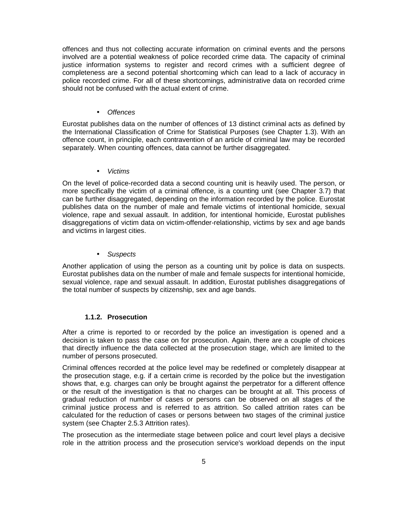offences and thus not collecting accurate information on criminal events and the persons involved are a potential weakness of police recorded crime data. The capacity of criminal justice information systems to register and record crimes with a sufficient degree of completeness are a second potential shortcoming which can lead to a lack of accuracy in police recorded crime. For all of these shortcomings, administrative data on recorded crime should not be confused with the actual extent of crime.

#### • Offences

Eurostat publishes data on the number of offences of 13 distinct criminal acts as defined by the International Classification of Crime for Statistical Purposes (see Chapter 1.3). With an offence count, in principle, each contravention of an article of criminal law may be recorded separately. When counting offences, data cannot be further disaggregated.

• Victims

On the level of police-recorded data a second counting unit is heavily used. The person, or more specifically the victim of a criminal offence, is a counting unit (see Chapter 3.7) that can be further disaggregated, depending on the information recorded by the police. Eurostat publishes data on the number of male and female victims of intentional homicide, sexual violence, rape and sexual assault. In addition, for intentional homicide, Eurostat publishes disaggregations of victim data on victim-offender-relationship, victims by sex and age bands and victims in largest cities.

• Suspects

Another application of using the person as a counting unit by police is data on suspects. Eurostat publishes data on the number of male and female suspects for intentional homicide, sexual violence, rape and sexual assault. In addition, Eurostat publishes disaggregations of the total number of suspects by citizenship, sex and age bands.

#### **1.1.2. Prosecution**

After a crime is reported to or recorded by the police an investigation is opened and a decision is taken to pass the case on for prosecution. Again, there are a couple of choices that directly influence the data collected at the prosecution stage, which are limited to the number of persons prosecuted.

Criminal offences recorded at the police level may be redefined or completely disappear at the prosecution stage, e.g. if a certain crime is recorded by the police but the investigation shows that, e.g. charges can only be brought against the perpetrator for a different offence or the result of the investigation is that no charges can be brought at all. This process of gradual reduction of number of cases or persons can be observed on all stages of the criminal justice process and is referred to as attrition. So called attrition rates can be calculated for the reduction of cases or persons between two stages of the criminal justice system (see Chapter 2.5.3 Attrition rates).

The prosecution as the intermediate stage between police and court level plays a decisive role in the attrition process and the prosecution service's workload depends on the input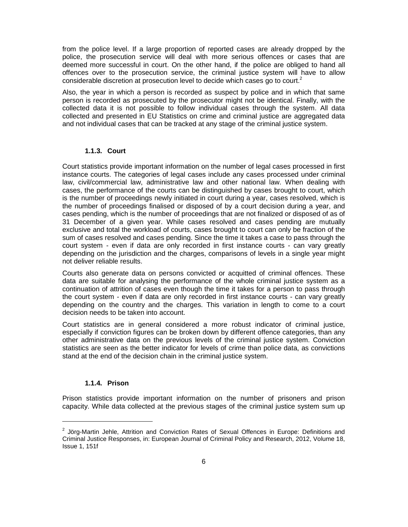from the police level. If a large proportion of reported cases are already dropped by the police, the prosecution service will deal with more serious offences or cases that are deemed more successful in court. On the other hand, if the police are obliged to hand all offences over to the prosecution service, the criminal justice system will have to allow considerable discretion at prosecution level to decide which cases go to court.<sup>2</sup>

Also, the year in which a person is recorded as suspect by police and in which that same person is recorded as prosecuted by the prosecutor might not be identical. Finally, with the collected data it is not possible to follow individual cases through the system. All data collected and presented in EU Statistics on crime and criminal justice are aggregated data and not individual cases that can be tracked at any stage of the criminal justice system.

### **1.1.3. Court**

Court statistics provide important information on the number of legal cases processed in first instance courts. The categories of legal cases include any cases processed under criminal law, civil/commercial law, administrative law and other national law. When dealing with cases, the performance of the courts can be distinguished by cases brought to court, which is the number of proceedings newly initiated in court during a year, cases resolved, which is the number of proceedings finalised or disposed of by a court decision during a year, and cases pending, which is the number of proceedings that are not finalized or disposed of as of 31 December of a given year. While cases resolved and cases pending are mutually exclusive and total the workload of courts, cases brought to court can only be fraction of the sum of cases resolved and cases pending. Since the time it takes a case to pass through the court system - even if data are only recorded in first instance courts - can vary greatly depending on the jurisdiction and the charges, comparisons of levels in a single year might not deliver reliable results.

Courts also generate data on persons convicted or acquitted of criminal offences. These data are suitable for analysing the performance of the whole criminal justice system as a continuation of attrition of cases even though the time it takes for a person to pass through the court system - even if data are only recorded in first instance courts - can vary greatly depending on the country and the charges. This variation in length to come to a court decision needs to be taken into account.

Court statistics are in general considered a more robust indicator of criminal justice, especially if conviction figures can be broken down by different offence categories, than any other administrative data on the previous levels of the criminal justice system. Conviction statistics are seen as the better indicator for levels of crime than police data, as convictions stand at the end of the decision chain in the criminal justice system.

### **1.1.4. Prison**

1

Prison statistics provide important information on the number of prisoners and prison capacity. While data collected at the previous stages of the criminal justice system sum up

 $2$  Jörg-Martin Jehle, Attrition and Conviction Rates of Sexual Offences in Europe: Definitions and Criminal Justice Responses, in: European Journal of Criminal Policy and Research, 2012, Volume 18, Issue 1, 151f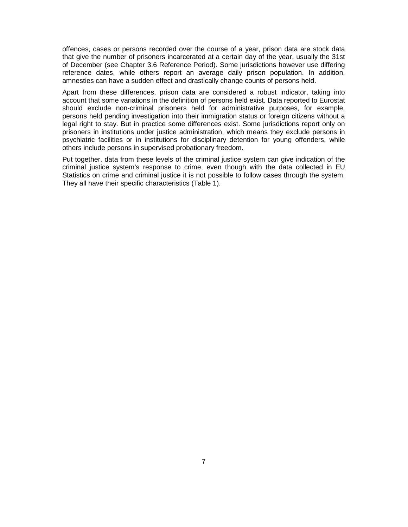offences, cases or persons recorded over the course of a year, prison data are stock data that give the number of prisoners incarcerated at a certain day of the year, usually the 31st of December (see Chapter 3.6 Reference Period). Some jurisdictions however use differing reference dates, while others report an average daily prison population. In addition, amnesties can have a sudden effect and drastically change counts of persons held.

Apart from these differences, prison data are considered a robust indicator, taking into account that some variations in the definition of persons held exist. Data reported to Eurostat should exclude non-criminal prisoners held for administrative purposes, for example, persons held pending investigation into their immigration status or foreign citizens without a legal right to stay. But in practice some differences exist. Some jurisdictions report only on prisoners in institutions under justice administration, which means they exclude persons in psychiatric facilities or in institutions for disciplinary detention for young offenders, while others include persons in supervised probationary freedom.

Put together, data from these levels of the criminal justice system can give indication of the criminal justice system's response to crime, even though with the data collected in EU Statistics on crime and criminal justice it is not possible to follow cases through the system. They all have their specific characteristics (Table 1).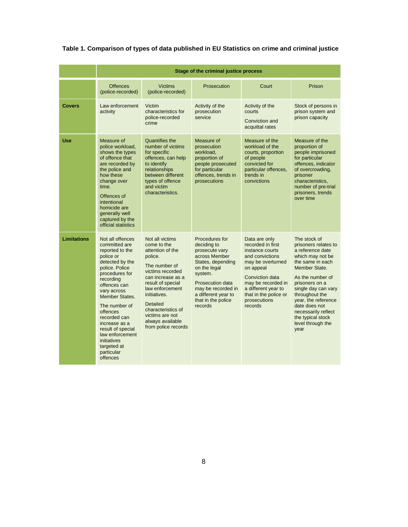### **Table 1. Comparison of types of data published in EU Statistics on crime and criminal justice**

|                    |                                                                                                                                                                                                                                                                                                                                                             | Stage of the criminal justice process                                                                                                                                                                                                                                                  |                                                                                                                                                                                                                           |                                                                                                                                                                                                                                |                                                                                                                                                                                                                                                                                                                   |  |
|--------------------|-------------------------------------------------------------------------------------------------------------------------------------------------------------------------------------------------------------------------------------------------------------------------------------------------------------------------------------------------------------|----------------------------------------------------------------------------------------------------------------------------------------------------------------------------------------------------------------------------------------------------------------------------------------|---------------------------------------------------------------------------------------------------------------------------------------------------------------------------------------------------------------------------|--------------------------------------------------------------------------------------------------------------------------------------------------------------------------------------------------------------------------------|-------------------------------------------------------------------------------------------------------------------------------------------------------------------------------------------------------------------------------------------------------------------------------------------------------------------|--|
|                    | <b>Offences</b><br>(police-recorded)                                                                                                                                                                                                                                                                                                                        | <b>Victims</b><br>(police-recorded)                                                                                                                                                                                                                                                    | Prosecution                                                                                                                                                                                                               | Court                                                                                                                                                                                                                          | Prison                                                                                                                                                                                                                                                                                                            |  |
| <b>Covers</b>      | Law enforcement<br>activity                                                                                                                                                                                                                                                                                                                                 | Victim<br>characteristics for<br>police-recorded<br>crime                                                                                                                                                                                                                              | Activity of the<br>prosecution<br>service                                                                                                                                                                                 | Activity of the<br>courts<br>Conviction and<br>acquittal rates                                                                                                                                                                 | Stock of persons in<br>prison system and<br>prison capacity                                                                                                                                                                                                                                                       |  |
| <b>Use</b>         | Measure of<br>police workload,<br>shows the types<br>of offence that<br>are recorded by<br>the police and<br>how these<br>change over<br>time.<br>Offences of<br>intentional<br>homicide are<br>generally well<br>captured by the<br>official statistics                                                                                                    | Quantifies the<br>number of victims<br>for specific<br>offences, can help<br>to identify<br>relationships<br>between different<br>types of offence<br>and victim<br>characteristics.                                                                                                   | Measure of<br>prosecution<br>workload,<br>proportion of<br>people prosecuted<br>for particular<br>offences, trends in<br>prosecutions                                                                                     | Measure of the<br>workload of the<br>courts, proportion<br>of people<br>convicted for<br>particular offences.<br>trends in<br>convictions                                                                                      | Measure of the<br>proportion of<br>people imprisoned<br>for particular<br>offences, indicator<br>of overcrowding,<br>prisoner<br>characteristics,<br>number of pre-trial<br>prisoners, trends<br>over time                                                                                                        |  |
| <b>Limitations</b> | Not all offences<br>committed are<br>reported to the<br>police or<br>detected by the<br>police. Police<br>procedures for<br>recording<br>offences can<br>vary across<br><b>Member States.</b><br>The number of<br>offences<br>recorded can<br>increase as a<br>result of special<br>law enforcement<br>initiatives<br>targeted at<br>particular<br>offences | Not all victims<br>come to the<br>attention of the<br>police.<br>The number of<br>victims recorded<br>can increase as a<br>result of special<br>law enforcement<br>initiatives.<br><b>Detailed</b><br>characteristics of<br>victims are not<br>always available<br>from police records | Procedures for<br>deciding to<br>prosecute vary<br>across Member<br>States, depending<br>on the legal<br>system.<br><b>Prosecution data</b><br>may be recorded in<br>a different year to<br>that in the police<br>records | Data are only<br>recorded in first<br>instance courts<br>and convictions<br>may be overturned<br>on appeal<br>Conviction data<br>may be recorded in<br>a different year to<br>that in the police or<br>prosecutions<br>records | The stock of<br>prisoners relates to<br>a reference date<br>which may not be<br>the same in each<br>Member State.<br>As the number of<br>prisoners on a<br>single day can vary<br>throughout the<br>year, the reference<br>date does not<br>necessarily reflect<br>the typical stock<br>level through the<br>year |  |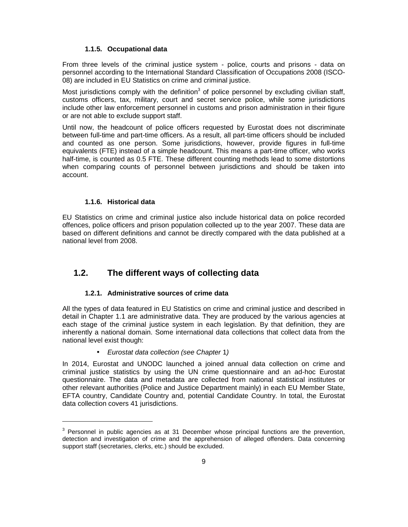#### **1.1.5. Occupational data**

From three levels of the criminal justice system - police, courts and prisons - data on personnel according to the International Standard Classification of Occupations 2008 (ISCO-08) are included in EU Statistics on crime and criminal justice.

Most jurisdictions comply with the definition<sup>3</sup> of police personnel by excluding civilian staff, customs officers, tax, military, court and secret service police, while some jurisdictions include other law enforcement personnel in customs and prison administration in their figure or are not able to exclude support staff.

Until now, the headcount of police officers requested by Eurostat does not discriminate between full-time and part-time officers. As a result, all part-time officers should be included and counted as one person. Some jurisdictions, however, provide figures in full-time equivalents (FTE) instead of a simple headcount. This means a part-time officer, who works half-time, is counted as 0.5 FTE. These different counting methods lead to some distortions when comparing counts of personnel between jurisdictions and should be taken into account.

### **1.1.6. Historical data**

1

EU Statistics on crime and criminal justice also include historical data on police recorded offences, police officers and prison population collected up to the year 2007. These data are based on different definitions and cannot be directly compared with the data published at a national level from 2008.

### **1.2. The different ways of collecting data**

### **1.2.1. Administrative sources of crime data**

All the types of data featured in EU Statistics on crime and criminal justice and described in detail in Chapter 1.1 are administrative data. They are produced by the various agencies at each stage of the criminal justice system in each legislation. By that definition, they are inherently a national domain. Some international data collections that collect data from the national level exist though:

### • Eurostat data collection (see Chapter 1)

In 2014, Eurostat and UNODC launched a joined annual data collection on crime and criminal justice statistics by using the UN crime questionnaire and an ad-hoc Eurostat questionnaire. The data and metadata are collected from national statistical institutes or other relevant authorities (Police and Justice Department mainly) in each EU Member State, EFTA country, Candidate Country and, potential Candidate Country. In total, the Eurostat data collection covers 41 jurisdictions.

 $3$  Personnel in public agencies as at 31 December whose principal functions are the prevention, detection and investigation of crime and the apprehension of alleged offenders. Data concerning support staff (secretaries, clerks, etc.) should be excluded.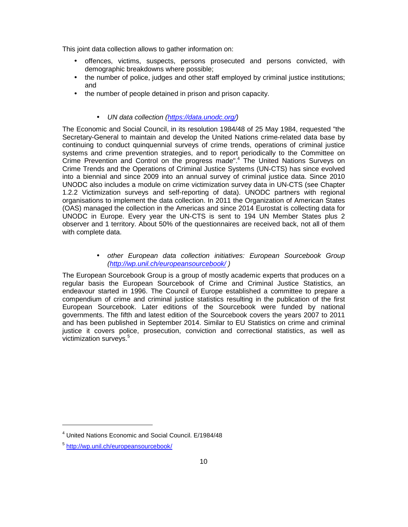This joint data collection allows to gather information on:

- offences, victims, suspects, persons prosecuted and persons convicted, with demographic breakdowns where possible;
- the number of police, judges and other staff employed by criminal justice institutions; and
- the number of people detained in prison and prison capacity.

### • UN data collection (https://data.unodc.org/)

The Economic and Social Council, in its resolution 1984/48 of 25 May 1984, requested "the Secretary-General to maintain and develop the United Nations crime-related data base by continuing to conduct quinquennial surveys of crime trends, operations of criminal justice systems and crime prevention strategies, and to report periodically to the Committee on Crime Prevention and Control on the progress made".<sup>4</sup> The United Nations Surveys on Crime Trends and the Operations of Criminal Justice Systems (UN-CTS) has since evolved into a biennial and since 2009 into an annual survey of criminal justice data. Since 2010 UNODC also includes a module on crime victimization survey data in UN-CTS (see Chapter 1.2.2 Victimization surveys and self-reporting of data). UNODC partners with regional organisations to implement the data collection. In 2011 the Organization of American States (OAS) managed the collection in the Americas and since 2014 Eurostat is collecting data for UNODC in Europe. Every year the UN-CTS is sent to 194 UN Member States plus 2 observer and 1 territory. About 50% of the questionnaires are received back, not all of them with complete data.

> • other European data collection initiatives: European Sourcebook Group (http://wp.unil.ch/europeansourcebook/ )

The European Sourcebook Group is a group of mostly academic experts that produces on a regular basis the European Sourcebook of Crime and Criminal Justice Statistics, an endeavour started in 1996. The Council of Europe established a committee to prepare a compendium of crime and criminal justice statistics resulting in the publication of the first European Sourcebook. Later editions of the Sourcebook were funded by national governments. The fifth and latest edition of the Sourcebook covers the years 2007 to 2011 and has been published in September 2014. Similar to EU Statistics on crime and criminal justice it covers police, prosecution, conviction and correctional statistics, as well as victimization surveys.<sup>5</sup>

<sup>4</sup> United Nations Economic and Social Council. E/1984/48

<sup>&</sup>lt;sup>5</sup> http://wp.unil.ch/europeansourcebook/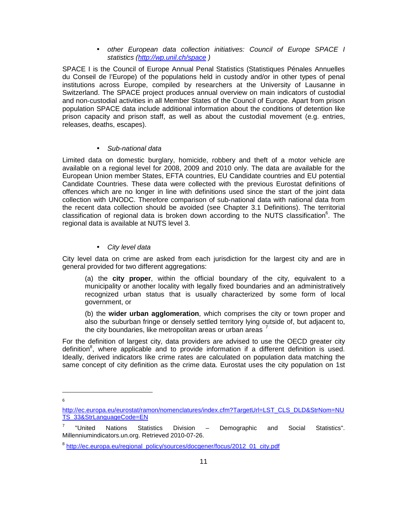• other European data collection initiatives: Council of Europe SPACE I statistics (http://wp.unil.ch/space)

SPACE I is the Council of Europe Annual Penal Statistics (Statistiques Pénales Annuelles du Conseil de l'Europe) of the populations held in custody and/or in other types of penal institutions across Europe, compiled by researchers at the University of Lausanne in Switzerland. The SPACE project produces annual overview on main indicators of custodial and non‐custodial activities in all Member States of the Council of Europe. Apart from prison population SPACE data include additional information about the conditions of detention like prison capacity and prison staff, as well as about the custodial movement (e.g. entries, releases, deaths, escapes).

#### • Sub-national data

Limited data on domestic burglary, homicide, robbery and theft of a motor vehicle are available on a regional level for 2008, 2009 and 2010 only. The data are available for the European Union member States, EFTA countries, EU Candidate countries and EU potential Candidate Countries. These data were collected with the previous Eurostat definitions of offences which are no longer in line with definitions used since the start of the joint data collection with UNODC. Therefore comparison of sub-national data with national data from the recent data collection should be avoided (see Chapter 3.1 Definitions). The territorial classification of regional data is broken down according to the NUTS classification<sup>6</sup>. The regional data is available at NUTS level 3.

### • City level data

City level data on crime are asked from each jurisdiction for the largest city and are in general provided for two different aggregations:

(a) the **city proper**, within the official boundary of the city, equivalent to a municipality or another locality with legally fixed boundaries and an administratively recognized urban status that is usually characterized by some form of local government, or

(b) the **wider urban agglomeration**, which comprises the city or town proper and also the suburban fringe or densely settled territory lying outside of, but adjacent to, the city boundaries, like metropolitan areas or urban areas <sup>7</sup>

For the definition of largest city, data providers are advised to use the OECD greater city definition<sup>8</sup>, where applicable and to provide information if a different definition is used. Ideally, derived indicators like crime rates are calculated on population data matching the same concept of city definition as the crime data. Eurostat uses the city population on 1st

http://ec.europa.eu/eurostat/ramon/nomenclatures/index.cfm?TargetUrl=LST\_CLS\_DLD&StrNom=NU TS\_33&StrLanguageCode=EN

<sup>7</sup> "United Nations Statistics Division – Demographic and Social Statistics". Millenniumindicators.un.org. Retrieved 2010-07-26.

<sup>&</sup>lt;sup>8</sup> http://ec.europa.eu/regional\_policy/sources/docgener/focus/2012\_01\_city.pdf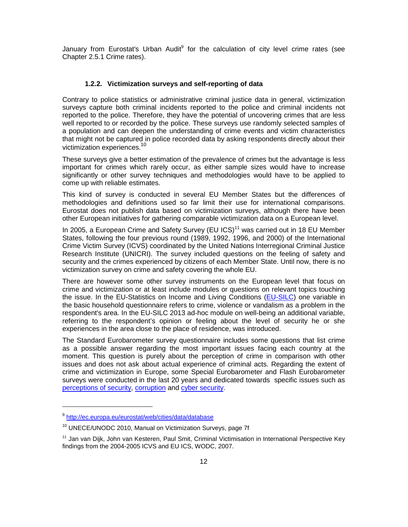January from Eurostat's Urban Audit<sup>9</sup> for the calculation of city level crime rates (see Chapter 2.5.1 Crime rates).

#### **1.2.2. Victimization surveys and self-reporting of data**

Contrary to police statistics or administrative criminal justice data in general, victimization surveys capture both criminal incidents reported to the police and criminal incidents not reported to the police. Therefore, they have the potential of uncovering crimes that are less well reported to or recorded by the police. These surveys use randomly selected samples of a population and can deepen the understanding of crime events and victim characteristics that might not be captured in police recorded data by asking respondents directly about their victimization experiences.<sup>10</sup>

These surveys give a better estimation of the prevalence of crimes but the advantage is less important for crimes which rarely occur, as either sample sizes would have to increase significantly or other survey techniques and methodologies would have to be applied to come up with reliable estimates.

This kind of survey is conducted in several EU Member States but the differences of methodologies and definitions used so far limit their use for international comparisons. Eurostat does not publish data based on victimization surveys, although there have been other European initiatives for gathering comparable victimization data on a European level.

In 2005, a European Crime and Safety Survey (EU ICS)<sup>11</sup> was carried out in 18 EU Member States, following the four previous round (1989, 1992, 1996, and 2000) of the International Crime Victim Survey (ICVS) coordinated by the United Nations Interregional Criminal Justice Research Institute (UNICRI). The survey included questions on the feeling of safety and security and the crimes experienced by citizens of each Member State. Until now, there is no victimization survey on crime and safety covering the whole EU.

There are however some other survey instruments on the European level that focus on crime and victimization or at least include modules or questions on relevant topics touching the issue. In the EU-Statistics on Income and Living Conditions (EU-SILC) one variable in the basic household questionnaire refers to crime, violence or vandalism as a problem in the respondent's area. In the EU-SILC 2013 ad-hoc module on well-being an additional variable, referring to the respondent's opinion or feeling about the level of security he or she experiences in the area close to the place of residence, was introduced.

The Standard Eurobarometer survey questionnaire includes some questions that list crime as a possible answer regarding the most important issues facing each country at the moment. This question is purely about the perception of crime in comparison with other issues and does not ask about actual experience of criminal acts. Regarding the extent of crime and victimization in Europe, some Special Eurobarometer and Flash Eurobarometer surveys were conducted in the last 20 years and dedicated towards specific issues such as perceptions of security, corruption and cyber security.

<sup>&</sup>lt;sup>9</sup>http://ec.europa.eu/eurostat/web/cities/data/database

<sup>&</sup>lt;sup>10</sup> UNECE/UNODC 2010, Manual on Victimization Surveys, page 7f

<sup>&</sup>lt;sup>11</sup> Jan van Dijk, John van Kesteren, Paul Smit, Criminal Victimisation in International Perspective Key findings from the 2004-2005 ICVS and EU ICS, WODC, 2007.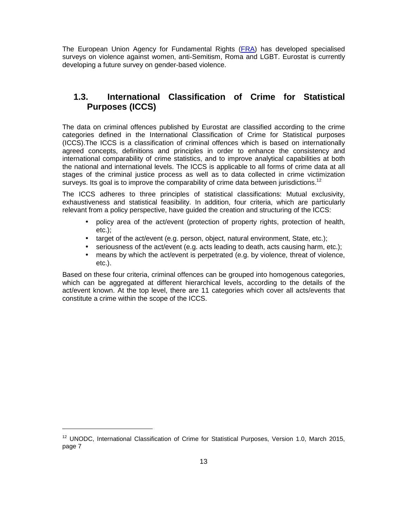The European Union Agency for Fundamental Rights (FRA) has developed specialised surveys on violence against women, anti-Semitism, Roma and LGBT. Eurostat is currently developing a future survey on gender-based violence.

### **1.3. International Classification of Crime for Statistical Purposes (ICCS)**

The data on criminal offences published by Eurostat are classified according to the crime categories defined in the International Classification of Crime for Statistical purposes (ICCS).The ICCS is a classification of criminal offences which is based on internationally agreed concepts, definitions and principles in order to enhance the consistency and international comparability of crime statistics, and to improve analytical capabilities at both the national and international levels. The ICCS is applicable to all forms of crime data at all stages of the criminal justice process as well as to data collected in crime victimization surveys. Its goal is to improve the comparability of crime data between jurisdictions.<sup>12</sup>

The ICCS adheres to three principles of statistical classifications: Mutual exclusivity, exhaustiveness and statistical feasibility. In addition, four criteria, which are particularly relevant from a policy perspective, have guided the creation and structuring of the ICCS:

- policy area of the act/event (protection of property rights, protection of health, etc.);
- target of the act/event (e.g. person, object, natural environment, State, etc.);
- seriousness of the act/event (e.g. acts leading to death, acts causing harm, etc.);
- means by which the act/event is perpetrated (e.g. by violence, threat of violence, etc.).

Based on these four criteria, criminal offences can be grouped into homogenous categories, which can be aggregated at different hierarchical levels, according to the details of the act/event known. At the top level, there are 11 categories which cover all acts/events that constitute a crime within the scope of the ICCS.

<sup>&</sup>lt;sup>12</sup> UNODC, International Classification of Crime for Statistical Purposes, Version 1.0, March 2015, page 7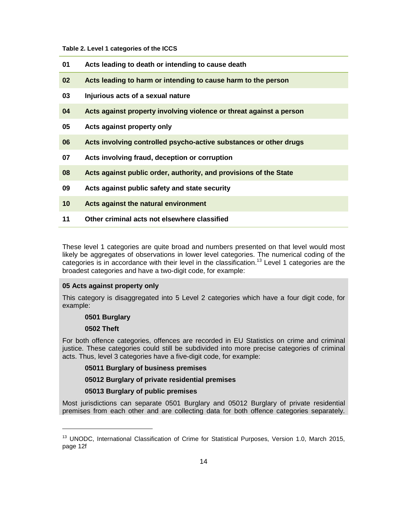#### **Table 2. Level 1 categories of the ICCS**

| 01              | Acts leading to death or intending to cause death                   |
|-----------------|---------------------------------------------------------------------|
| 02              | Acts leading to harm or intending to cause harm to the person       |
| 03              | Injurious acts of a sexual nature                                   |
| 04              | Acts against property involving violence or threat against a person |
| 05              | Acts against property only                                          |
| 06              | Acts involving controlled psycho-active substances or other drugs   |
| 07              | Acts involving fraud, deception or corruption                       |
| 08              | Acts against public order, authority, and provisions of the State   |
| 09              | Acts against public safety and state security                       |
| 10 <sup>°</sup> | Acts against the natural environment                                |
| 11              | Other criminal acts not elsewhere classified                        |

These level 1 categories are quite broad and numbers presented on that level would most likely be aggregates of observations in lower level categories. The numerical coding of the categories is in accordance with their level in the classification.<sup>13</sup> Level 1 categories are the broadest categories and have a two-digit code, for example:

### **05 Acts against property only**

This category is disaggregated into 5 Level 2 categories which have a four digit code, for example:

**0501 Burglary** 

### **0502 Theft**

1

For both offence categories, offences are recorded in EU Statistics on crime and criminal justice. These categories could still be subdivided into more precise categories of criminal acts. Thus, level 3 categories have a five-digit code, for example:

#### **05011 Burglary of business premises**

### **05012 Burglary of private residential premises**

#### **05013 Burglary of public premises**

Most jurisdictions can separate 0501 Burglary and 05012 Burglary of private residential premises from each other and are collecting data for both offence categories separately.

<sup>&</sup>lt;sup>13</sup> UNODC, International Classification of Crime for Statistical Purposes, Version 1.0, March 2015, page 12f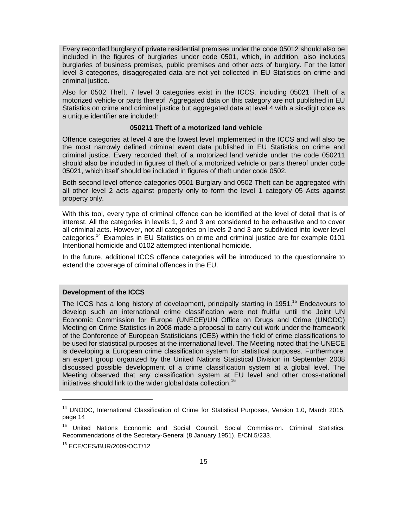Every recorded burglary of private residential premises under the code 05012 should also be included in the figures of burglaries under code 0501, which, in addition, also includes burglaries of business premises, public premises and other acts of burglary. For the latter level 3 categories, disaggregated data are not yet collected in EU Statistics on crime and criminal justice.

Also for 0502 Theft, 7 level 3 categories exist in the ICCS, including 05021 Theft of a motorized vehicle or parts thereof. Aggregated data on this category are not published in EU Statistics on crime and criminal justice but aggregated data at level 4 with a six-digit code as a unique identifier are included:

#### **050211 Theft of a motorized land vehicle**

Offence categories at level 4 are the lowest level implemented in the ICCS and will also be the most narrowly defined criminal event data published in EU Statistics on crime and criminal justice. Every recorded theft of a motorized land vehicle under the code 050211 should also be included in figures of theft of a motorized vehicle or parts thereof under code 05021, which itself should be included in figures of theft under code 0502.

Both second level offence categories 0501 Burglary and 0502 Theft can be aggregated with all other level 2 acts against property only to form the level 1 category 05 Acts against property only.

With this tool, every type of criminal offence can be identified at the level of detail that is of interest. All the categories in levels 1, 2 and 3 are considered to be exhaustive and to cover all criminal acts. However, not all categories on levels 2 and 3 are subdivided into lower level categories.<sup>14</sup> Examples in EU Statistics on crime and criminal justice are for example 0101 Intentional homicide and 0102 attempted intentional homicide.

In the future, additional ICCS offence categories will be introduced to the questionnaire to extend the coverage of criminal offences in the EU.

#### **Development of the ICCS**

The ICCS has a long history of development, principally starting in 1951.<sup>15</sup> Endeavours to develop such an international crime classification were not fruitful until the Joint UN Economic Commission for Europe (UNECE)/UN Office on Drugs and Crime (UNODC) Meeting on Crime Statistics in 2008 made a proposal to carry out work under the framework of the Conference of European Statisticians (CES) within the field of crime classifications to be used for statistical purposes at the international level. The Meeting noted that the UNECE is developing a European crime classification system for statistical purposes. Furthermore, an expert group organized by the United Nations Statistical Division in September 2008 discussed possible development of a crime classification system at a global level. The Meeting observed that any classification system at EU level and other cross-national initiatives should link to the wider global data collection.<sup>16</sup>

<sup>&</sup>lt;sup>14</sup> UNODC, International Classification of Crime for Statistical Purposes, Version 1.0, March 2015, page 14

<sup>&</sup>lt;sup>15</sup> United Nations Economic and Social Council. Social Commission. Criminal Statistics: Recommendations of the Secretary-General (8 January 1951). E/CN.5/233.

<sup>16</sup> ECE/CES/BUR/2009/OCT/12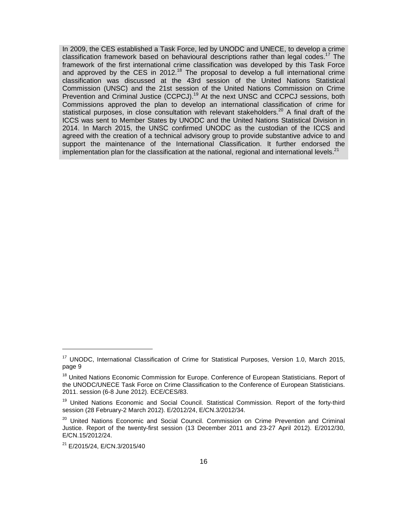In 2009, the CES established a Task Force, led by UNODC and UNECE, to develop a crime classification framework based on behavioural descriptions rather than legal codes.<sup>17</sup> The framework of the first international crime classification was developed by this Task Force and approved by the CES in 2012.<sup>18</sup> The proposal to develop a full international crime classification was discussed at the 43rd session of the United Nations Statistical Commission (UNSC) and the 21st session of the United Nations Commission on Crime Prevention and Criminal Justice (CCPCJ).<sup>19</sup> At the next UNSC and CCPCJ sessions, both Commissions approved the plan to develop an international classification of crime for statistical purposes, in close consultation with relevant stakeholders.<sup>20</sup> A final draft of the ICCS was sent to Member States by UNODC and the United Nations Statistical Division in 2014. In March 2015, the UNSC confirmed UNODC as the custodian of the ICCS and agreed with the creation of a technical advisory group to provide substantive advice to and support the maintenance of the International Classification. It further endorsed the implementation plan for the classification at the national, regional and international levels. $21$ 

<sup>&</sup>lt;sup>17</sup> UNODC, International Classification of Crime for Statistical Purposes, Version 1.0, March 2015, page 9

<sup>&</sup>lt;sup>18</sup> United Nations Economic Commission for Europe. Conference of European Statisticians. Report of the UNODC/UNECE Task Force on Crime Classification to the Conference of European Statisticians. 2011. session (6-8 June 2012). ECE/CES/83.

<sup>&</sup>lt;sup>19</sup> United Nations Economic and Social Council. Statistical Commission. Report of the forty-third session (28 February-2 March 2012). E/2012/24, E/CN.3/2012/34.

<sup>&</sup>lt;sup>20</sup> United Nations Economic and Social Council. Commission on Crime Prevention and Criminal Justice. Report of the twenty-first session (13 December 2011 and 23-27 April 2012). E/2012/30, E/CN.15/2012/24.

<sup>21</sup> E/2015/24, E/CN.3/2015/40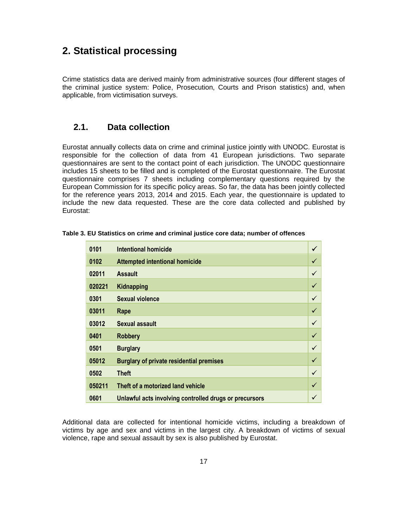# **2. Statistical processing**

Crime statistics data are derived mainly from administrative sources (four different stages of the criminal justice system: Police, Prosecution, Courts and Prison statistics) and, when applicable, from victimisation surveys.

### **2.1. Data collection**

Eurostat annually collects data on crime and criminal justice jointly with UNODC. Eurostat is responsible for the collection of data from 41 European jurisdictions. Two separate questionnaires are sent to the contact point of each jurisdiction. The UNODC questionnaire includes 15 sheets to be filled and is completed of the Eurostat questionnaire. The Eurostat questionnaire comprises 7 sheets including complementary questions required by the European Commission for its specific policy areas. So far, the data has been jointly collected for the reference years 2013, 2014 and 2015. Each year, the questionnaire is updated to include the new data requested. These are the core data collected and published by Eurostat:

| 0101   | <b>Intentional homicide</b>                            | $\checkmark$ |
|--------|--------------------------------------------------------|--------------|
| 0102   | <b>Attempted intentional homicide</b>                  |              |
| 02011  | <b>Assault</b>                                         |              |
| 020221 | Kidnapping                                             |              |
| 0301   | Sexual violence                                        | ✓            |
| 03011  | Rape                                                   | $\checkmark$ |
| 03012  | Sexual assault                                         | ✓            |
| 0401   | <b>Robbery</b>                                         | $\checkmark$ |
| 0501   | <b>Burglary</b>                                        | ✓            |
| 05012  | <b>Burglary of private residential premises</b>        |              |
| 0502   | <b>Theft</b>                                           |              |
| 050211 | Theft of a motorized land vehicle                      |              |
| 0601   | Unlawful acts involving controlled drugs or precursors |              |

**Table 3. EU Statistics on crime and criminal justice core data; number of offences** 

Additional data are collected for intentional homicide victims, including a breakdown of victims by age and sex and victims in the largest city. A breakdown of victims of sexual violence, rape and sexual assault by sex is also published by Eurostat.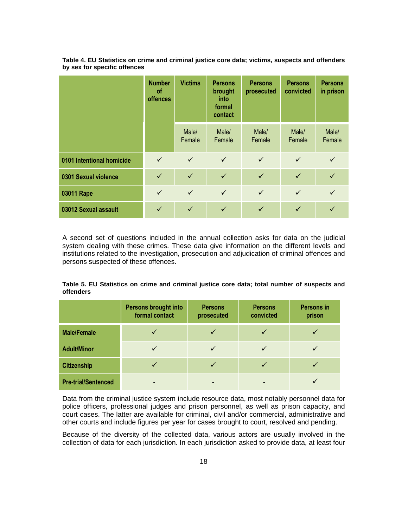|                           | <b>Number</b><br>οf<br>offences | <b>Victims</b>  | <b>Persons</b><br>brought<br>into<br>formal<br>contact | <b>Persons</b><br>prosecuted | <b>Persons</b><br>convicted | <b>Persons</b><br>in prison |
|---------------------------|---------------------------------|-----------------|--------------------------------------------------------|------------------------------|-----------------------------|-----------------------------|
|                           |                                 | Male/<br>Female | Male/<br>Female                                        | Male/<br>Female              | Male/<br>Female             | Male/<br>Female             |
| 0101 Intentional homicide | $\checkmark$                    | $\checkmark$    | $\checkmark$                                           | $\checkmark$                 | $\checkmark$                | $\checkmark$                |
| 0301 Sexual violence      | $\checkmark$                    | $\checkmark$    | $\checkmark$                                           | $\checkmark$                 | $\checkmark$                |                             |
| 03011 Rape                | $\checkmark$                    | $\checkmark$    | $\checkmark$                                           | $\checkmark$                 | $\checkmark$                | $\checkmark$                |
| 03012 Sexual assault      | ✓                               | $\checkmark$    | $\checkmark$                                           | $\checkmark$                 | $\checkmark$                |                             |

**Table 4. EU Statistics on crime and criminal justice core data; victims, suspects and offenders by sex for specific offences** 

A second set of questions included in the annual collection asks for data on the judicial system dealing with these crimes. These data give information on the different levels and institutions related to the investigation, prosecution and adjudication of criminal offences and persons suspected of these offences.

**Table 5. EU Statistics on crime and criminal justice core data; total number of suspects and offenders** 

|                            | <b>Persons brought into</b><br>formal contact | <b>Persons</b><br>prosecuted | <b>Persons</b><br>convicted | <b>Persons in</b><br>prison |
|----------------------------|-----------------------------------------------|------------------------------|-----------------------------|-----------------------------|
| <b>Male/Female</b>         |                                               |                              |                             |                             |
| <b>Adult/Minor</b>         | $\checkmark$                                  |                              |                             |                             |
| <b>Citizenship</b>         |                                               |                              |                             |                             |
| <b>Pre-trial/Sentenced</b> | -                                             | $\overline{\phantom{0}}$     |                             |                             |

Data from the criminal justice system include resource data, most notably personnel data for police officers, professional judges and prison personnel, as well as prison capacity, and court cases. The latter are available for criminal, civil and/or commercial, administrative and other courts and include figures per year for cases brought to court, resolved and pending.

Because of the diversity of the collected data, various actors are usually involved in the collection of data for each jurisdiction. In each jurisdiction asked to provide data, at least four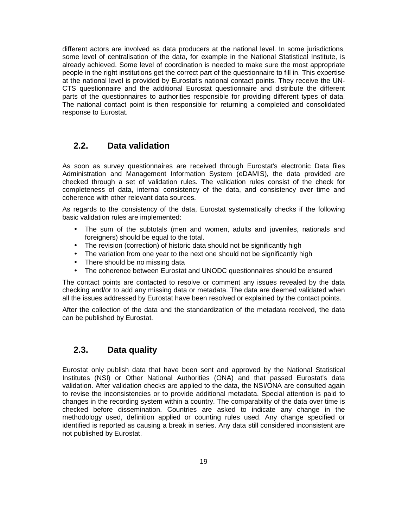different actors are involved as data producers at the national level. In some jurisdictions, some level of centralisation of the data, for example in the National Statistical Institute, is already achieved. Some level of coordination is needed to make sure the most appropriate people in the right institutions get the correct part of the questionnaire to fill in. This expertise at the national level is provided by Eurostat's national contact points. They receive the UN-CTS questionnaire and the additional Eurostat questionnaire and distribute the different parts of the questionnaires to authorities responsible for providing different types of data. The national contact point is then responsible for returning a completed and consolidated response to Eurostat.

### **2.2. Data validation**

As soon as survey questionnaires are received through Eurostat's electronic Data files Administration and Management Information System (eDAMIS), the data provided are checked through a set of validation rules. The validation rules consist of the check for completeness of data, internal consistency of the data, and consistency over time and coherence with other relevant data sources.

As regards to the consistency of the data, Eurostat systematically checks if the following basic validation rules are implemented:

- The sum of the subtotals (men and women, adults and juveniles, nationals and foreigners) should be equal to the total.
- The revision (correction) of historic data should not be significantly high
- The variation from one year to the next one should not be significantly high
- There should be no missing data
- The coherence between Eurostat and UNODC questionnaires should be ensured

The contact points are contacted to resolve or comment any issues revealed by the data checking and/or to add any missing data or metadata. The data are deemed validated when all the issues addressed by Eurostat have been resolved or explained by the contact points.

After the collection of the data and the standardization of the metadata received, the data can be published by Eurostat.

### **2.3. Data quality**

Eurostat only publish data that have been sent and approved by the National Statistical Institutes (NSI) or Other National Authorities (ONA) and that passed Eurostat's data validation. After validation checks are applied to the data, the NSI/ONA are consulted again to revise the inconsistencies or to provide additional metadata. Special attention is paid to changes in the recording system within a country. The comparability of the data over time is checked before dissemination. Countries are asked to indicate any change in the methodology used, definition applied or counting rules used. Any change specified or identified is reported as causing a break in series. Any data still considered inconsistent are not published by Eurostat.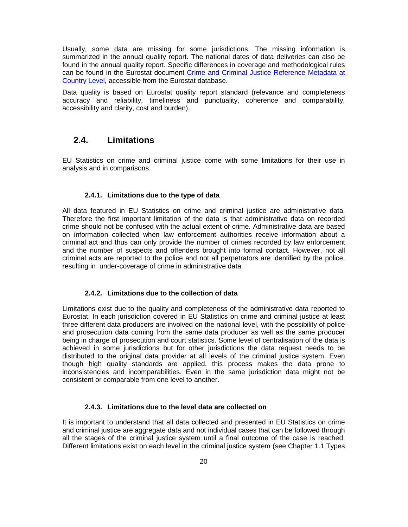Usually, some data are missing for some jurisdictions. The missing information is summarized in the annual quality report. The national dates of data deliveries can also be found in the annual quality report. Specific differences in coverage and methodological rules can be found in the Eurostat document Crime and Criminal Justice Reference Metadata at Country Level, accessible from the Eurostat database.

Data quality is based on Eurostat quality report standard (relevance and completeness accuracy and reliability, timeliness and punctuality, coherence and comparability, accessibility and clarity, cost and burden).

### **2.4. Limitations**

EU Statistics on crime and criminal justice come with some limitations for their use in analysis and in comparisons.

#### **2.4.1. Limitations due to the type of data**

All data featured in EU Statistics on crime and criminal justice are administrative data. Therefore the first important limitation of the data is that administrative data on recorded crime should not be confused with the actual extent of crime. Administrative data are based on information collected when law enforcement authorities receive information about a criminal act and thus can only provide the number of crimes recorded by law enforcement and the number of suspects and offenders brought into formal contact. However, not all criminal acts are reported to the police and not all perpetrators are identified by the police, resulting in under-coverage of crime in administrative data.

#### **2.4.2. Limitations due to the collection of data**

Limitations exist due to the quality and completeness of the administrative data reported to Eurostat. In each jurisdiction covered in EU Statistics on crime and criminal justice at least three different data producers are involved on the national level, with the possibility of police and prosecution data coming from the same data producer as well as the same producer being in charge of prosecution and court statistics. Some level of centralisation of the data is achieved in some jurisdictions but for other jurisdictions the data request needs to be distributed to the original data provider at all levels of the criminal justice system. Even though high quality standards are applied, this process makes the data prone to inconsistencies and incomparabilities. Even in the same jurisdiction data might not be consistent or comparable from one level to another.

### **2.4.3. Limitations due to the level data are collected on**

It is important to understand that all data collected and presented in EU Statistics on crime and criminal justice are aggregate data and not individual cases that can be followed through all the stages of the criminal justice system until a final outcome of the case is reached. Different limitations exist on each level in the criminal justice system (see Chapter 1.1 Types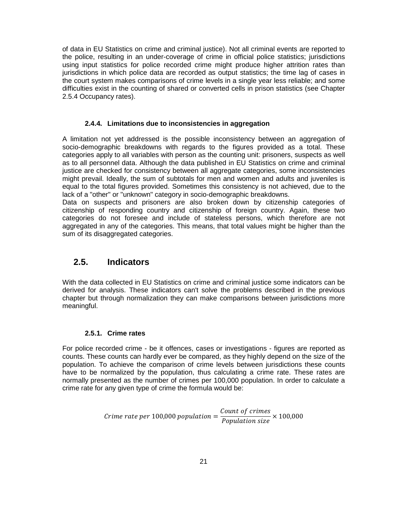of data in EU Statistics on crime and criminal justice). Not all criminal events are reported to the police, resulting in an under-coverage of crime in official police statistics; jurisdictions using input statistics for police recorded crime might produce higher attrition rates than jurisdictions in which police data are recorded as output statistics; the time lag of cases in the court system makes comparisons of crime levels in a single year less reliable; and some difficulties exist in the counting of shared or converted cells in prison statistics (see Chapter 2.5.4 Occupancy rates).

#### **2.4.4. Limitations due to inconsistencies in aggregation**

A limitation not yet addressed is the possible inconsistency between an aggregation of socio-demographic breakdowns with regards to the figures provided as a total. These categories apply to all variables with person as the counting unit: prisoners, suspects as well as to all personnel data. Although the data published in EU Statistics on crime and criminal justice are checked for consistency between all aggregate categories, some inconsistencies might prevail. Ideally, the sum of subtotals for men and women and adults and juveniles is equal to the total figures provided. Sometimes this consistency is not achieved, due to the lack of a "other" or "unknown" category in socio-demographic breakdowns.

Data on suspects and prisoners are also broken down by citizenship categories of citizenship of responding country and citizenship of foreign country. Again, these two categories do not foresee and include of stateless persons, which therefore are not aggregated in any of the categories. This means, that total values might be higher than the sum of its disaggregated categories.

### **2.5. Indicators**

With the data collected in EU Statistics on crime and criminal justice some indicators can be derived for analysis. These indicators can't solve the problems described in the previous chapter but through normalization they can make comparisons between jurisdictions more meaningful.

### **2.5.1. Crime rates**

For police recorded crime - be it offences, cases or investigations - figures are reported as counts. These counts can hardly ever be compared, as they highly depend on the size of the population. To achieve the comparison of crime levels between jurisdictions these counts have to be normalized by the population, thus calculating a crime rate. These rates are normally presented as the number of crimes per 100,000 population. In order to calculate a crime rate for any given type of crime the formula would be:

> Crime rate per 100,000 population  $=\frac{Count\ of\ crimes}{Domain\ of\ or\ in\$  $\frac{1}{Population size} \times 100,000$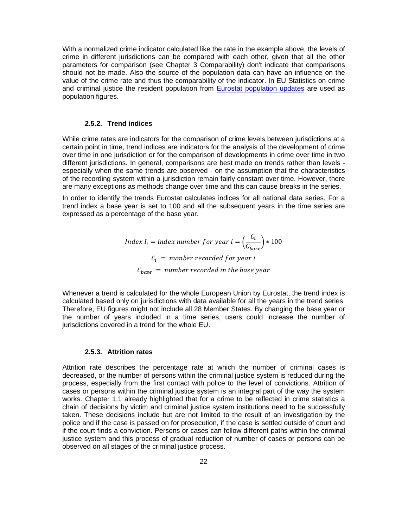With a normalized crime indicator calculated like the rate in the example above, the levels of crime in different jurisdictions can be compared with each other, given that all the other parameters for comparison (see Chapter 3 Comparability) don't indicate that comparisons should not be made. Also the source of the population data can have an influence on the value of the crime rate and thus the comparability of the indicator. In EU Statistics on crime and criminal justice the resident population from Eurostat population updates are used as population figures.

#### **2.5.2. Trend indices**

While crime rates are indicators for the comparison of crime levels between jurisdictions at a certain point in time, trend indices are indicators for the analysis of the development of crime over time in one jurisdiction or for the comparison of developments in crime over time in two different jurisdictions. In general, comparisons are best made on trends rather than levels especially when the same trends are observed - on the assumption that the characteristics of the recording system within a jurisdiction remain fairly constant over time. However, there are many exceptions as methods change over time and this can cause breaks in the series.

In order to identify the trends Eurostat calculates indices for all national data series. For a trend index a base year is set to 100 and all the subsequent years in the time series are expressed as a percentage of the base year.

> Index I<sub>i</sub> = index number for year i =  $\left(\frac{C_i}{C_i}\right)$  $\left(\frac{c}{c_{base}}\right) * 100$  $\mathcal{C}_i$  = number recorded for year i  $\mathcal{C}_{base}$  = number recorded in the base year

Whenever a trend is calculated for the whole European Union by Eurostat, the trend index is calculated based only on jurisdictions with data available for all the years in the trend series. Therefore, EU figures might not include all 28 Member States. By changing the base year or the number of years included in a time series, users could increase the number of jurisdictions covered in a trend for the whole EU.

### **2.5.3. Attrition rates**

Attrition rate describes the percentage rate at which the number of criminal cases is decreased, or the number of persons within the criminal justice system is reduced during the process, especially from the first contact with police to the level of convictions. Attrition of cases or persons within the criminal justice system is an integral part of the way the system works. Chapter 1.1 already highlighted that for a crime to be reflected in crime statistics a chain of decisions by victim and criminal justice system institutions need to be successfully taken. These decisions include but are not limited to the result of an investigation by the police and if the case is passed on for prosecution, if the case is settled outside of court and if the court finds a conviction. Persons or cases can follow different paths within the criminal justice system and this process of gradual reduction of number of cases or persons can be observed on all stages of the criminal justice process.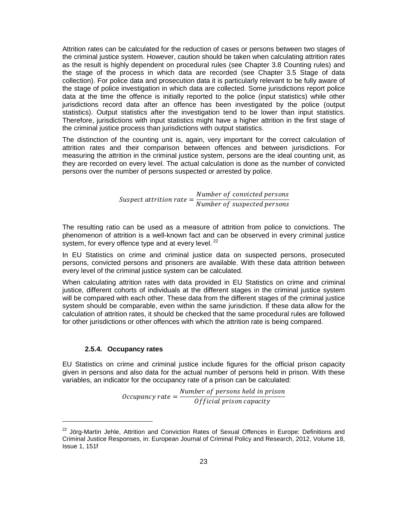Attrition rates can be calculated for the reduction of cases or persons between two stages of the criminal justice system. However, caution should be taken when calculating attrition rates as the result is highly dependent on procedural rules (see Chapter 3.8 Counting rules) and the stage of the process in which data are recorded (see Chapter 3.5 Stage of data collection). For police data and prosecution data it is particularly relevant to be fully aware of the stage of police investigation in which data are collected. Some jurisdictions report police data at the time the offence is initially reported to the police (input statistics) while other jurisdictions record data after an offence has been investigated by the police (output statistics). Output statistics after the investigation tend to be lower than input statistics. Therefore, jurisdictions with input statistics might have a higher attrition in the first stage of the criminal justice process than jurisdictions with output statistics.

The distinction of the counting unit is, again, very important for the correct calculation of attrition rates and their comparison between offences and between jurisdictions. For measuring the attrition in the criminal justice system, persons are the ideal counting unit, as they are recorded on every level. The actual calculation is done as the number of convicted persons over the number of persons suspected or arrested by police.

> Suspect attrition rate  $=\frac{Number\ of\ convicted\ persons}{Number\ of\ scupvected\ persons}$ Number of suspected persons

The resulting ratio can be used as a measure of attrition from police to convictions. The phenomenon of attrition is a well-known fact and can be observed in every criminal justice system, for every offence type and at every level.  $^{22}$ 

In EU Statistics on crime and criminal justice data on suspected persons, prosecuted persons, convicted persons and prisoners are available. With these data attrition between every level of the criminal justice system can be calculated.

When calculating attrition rates with data provided in EU Statistics on crime and criminal justice, different cohorts of individuals at the different stages in the criminal justice system will be compared with each other. These data from the different stages of the criminal justice system should be comparable, even within the same jurisdiction. If these data allow for the calculation of attrition rates, it should be checked that the same procedural rules are followed for other jurisdictions or other offences with which the attrition rate is being compared.

### **2.5.4. Occupancy rates**

1

EU Statistics on crime and criminal justice include figures for the official prison capacity given in persons and also data for the actual number of persons held in prison. With these variables, an indicator for the occupancy rate of a prison can be calculated:

> Occupancy rate  $=$   $\frac{Number\ of\ persons\ held\ in\ prison}{Official\ mission\ capacity}$ Of ficial prison capacity

<sup>&</sup>lt;sup>22</sup> Jörg-Martin Jehle, Attrition and Conviction Rates of Sexual Offences in Europe: Definitions and Criminal Justice Responses, in: European Journal of Criminal Policy and Research, 2012, Volume 18, Issue 1, 151f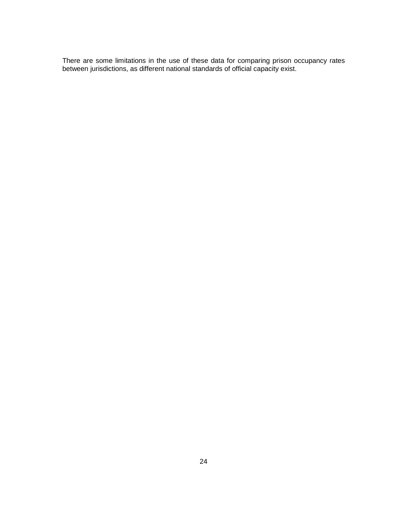There are some limitations in the use of these data for comparing prison occupancy rates between jurisdictions, as different national standards of official capacity exist.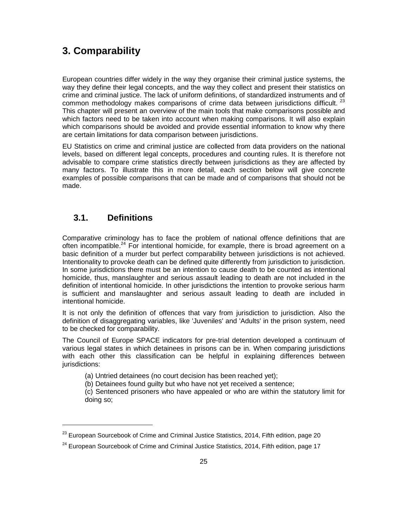# **3. Comparability**

European countries differ widely in the way they organise their criminal justice systems, the way they define their legal concepts, and the way they collect and present their statistics on crime and criminal justice. The lack of uniform definitions, of standardized instruments and of common methodology makes comparisons of crime data between jurisdictions difficult.<sup>23</sup> This chapter will present an overview of the main tools that make comparisons possible and which factors need to be taken into account when making comparisons. It will also explain which comparisons should be avoided and provide essential information to know why there are certain limitations for data comparison between jurisdictions.

EU Statistics on crime and criminal justice are collected from data providers on the national levels, based on different legal concepts, procedures and counting rules. It is therefore not advisable to compare crime statistics directly between jurisdictions as they are affected by many factors. To illustrate this in more detail, each section below will give concrete examples of possible comparisons that can be made and of comparisons that should not be made.

### **3.1. Definitions**

1

Comparative criminology has to face the problem of national offence definitions that are often incompatible.<sup>24</sup> For intentional homicide, for example, there is broad agreement on a basic definition of a murder but perfect comparability between jurisdictions is not achieved. Intentionality to provoke death can be defined quite differently from jurisdiction to jurisdiction. In some jurisdictions there must be an intention to cause death to be counted as intentional homicide, thus, manslaughter and serious assault leading to death are not included in the definition of intentional homicide. In other jurisdictions the intention to provoke serious harm is sufficient and manslaughter and serious assault leading to death are included in intentional homicide.

It is not only the definition of offences that vary from jurisdiction to jurisdiction. Also the definition of disaggregating variables, like 'Juveniles' and 'Adults' in the prison system, need to be checked for comparability.

The Council of Europe SPACE indicators for pre-trial detention developed a continuum of various legal states in which detainees in prisons can be in. When comparing jurisdictions with each other this classification can be helpful in explaining differences between jurisdictions:

- (a) Untried detainees (no court decision has been reached yet);
- (b) Detainees found guilty but who have not yet received a sentence;
- (c) Sentenced prisoners who have appealed or who are within the statutory limit for doing so;

 $^{23}$  European Sourcebook of Crime and Criminal Justice Statistics, 2014, Fifth edition, page 20

 $24$  European Sourcebook of Crime and Criminal Justice Statistics, 2014, Fifth edition, page 17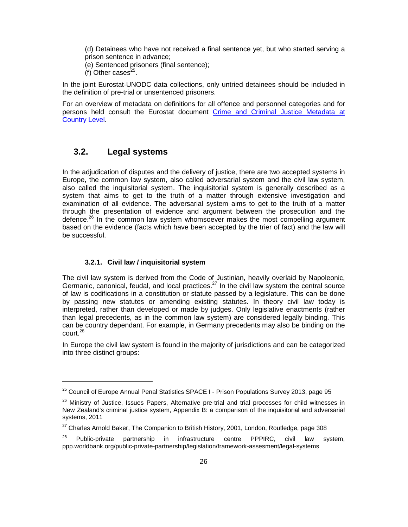(d) Detainees who have not received a final sentence yet, but who started serving a prison sentence in advance;

(e) Sentenced prisoners (final sentence);

(f) Other cases $25$ .

In the joint Eurostat-UNODC data collections, only untried detainees should be included in the definition of pre-trial or unsentenced prisoners.

For an overview of metadata on definitions for all offence and personnel categories and for persons held consult the Eurostat document Crime and Criminal Justice Metadata at Country Level.

### **3.2. Legal systems**

1

In the adjudication of disputes and the delivery of justice, there are two accepted systems in Europe, the common law system, also called adversarial system and the civil law system, also called the inquisitorial system. The inquisitorial system is generally described as a system that aims to get to the truth of a matter through extensive investigation and examination of all evidence. The adversarial system aims to get to the truth of a matter through the presentation of evidence and argument between the prosecution and the defence.<sup>26</sup> In the common law system whomsoever makes the most compelling argument based on the evidence (facts which have been accepted by the trier of fact) and the law will be successful.

### **3.2.1. Civil law / inquisitorial system**

The civil law system is derived from the Code of Justinian, heavily overlaid by Napoleonic, Germanic, canonical, feudal, and local practices.<sup>27</sup> In the civil law system the central source of law is codifications in a constitution or statute passed by a legislature. This can be done by passing new statutes or amending existing statutes. In theory civil law today is interpreted, rather than developed or made by judges. Only legislative enactments (rather than legal precedents, as in the common law system) are considered legally binding. This can be country dependant. For example, in Germany precedents may also be binding on the court.<sup>28</sup>

In Europe the civil law system is found in the majority of jurisdictions and can be categorized into three distinct groups:

<sup>&</sup>lt;sup>25</sup> Council of Europe Annual Penal Statistics SPACE I - Prison Populations Survey 2013, page 95

<sup>&</sup>lt;sup>26</sup> Ministry of Justice, Issues Papers, Alternative pre-trial and trial processes for child witnesses in New Zealand's criminal justice system, Appendix B: a comparison of the inquisitorial and adversarial systems, 2011

<sup>&</sup>lt;sup>27</sup> Charles Arnold Baker, The Companion to British History, 2001, London, Routledge, page 308

 $28$  Public-private partnership in infrastructure centre PPPIRC, civil law system, ppp.worldbank.org/public-private-partnership/legislation/framework-assesment/legal-systems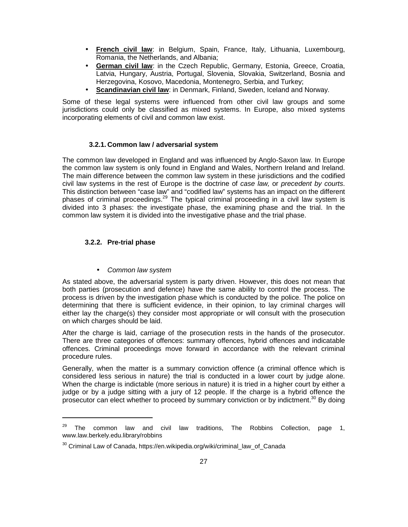- **French civil law**: in Belgium, Spain, France, Italy, Lithuania, Luxembourg, Romania, the Netherlands, and Albania;
- **German civil law**: in the Czech Republic, Germany, Estonia, Greece, Croatia, Latvia, Hungary, Austria, Portugal, Slovenia, Slovakia, Switzerland, Bosnia and Herzegovina, Kosovo, Macedonia, Montenegro, Serbia, and Turkey;
- **Scandinavian civil law**: in Denmark, Finland, Sweden, Iceland and Norway.

Some of these legal systems were influenced from other civil law groups and some jurisdictions could only be classified as mixed systems. In Europe, also mixed systems incorporating elements of civil and common law exist.

### **3.2.1. Common law / adversarial system**

The common law developed in England and was influenced by Anglo-Saxon law. In Europe the common law system is only found in England and Wales, Northern Ireland and Ireland. The main difference between the common law system in these jurisdictions and the codified civil law systems in the rest of Europe is the doctrine of case law, or precedent by courts. This distinction between "case law" and "codified law" systems has an impact on the different phases of criminal proceedings.<sup>29</sup> The typical criminal proceeding in a civil law system is divided into 3 phases: the investigate phase, the examining phase and the trial. In the common law system it is divided into the investigative phase and the trial phase.

### **3.2.2. Pre-trial phase**

1

• Common law system

As stated above, the adversarial system is party driven. However, this does not mean that both parties (prosecution and defence) have the same ability to control the process. The process is driven by the investigation phase which is conducted by the police. The police on determining that there is sufficient evidence, in their opinion, to lay criminal charges will either lay the charge(s) they consider most appropriate or will consult with the prosecution on which charges should be laid.

After the charge is laid, carriage of the prosecution rests in the hands of the prosecutor. There are three categories of offences: summary offences, hybrid offences and indicatable offences. Criminal proceedings move forward in accordance with the relevant criminal procedure rules.

Generally, when the matter is a summary conviction offence (a criminal offence which is considered less serious in nature) the trial is conducted in a lower court by judge alone. When the charge is indictable (more serious in nature) it is tried in a higher court by either a judge or by a judge sitting with a jury of 12 people. If the charge is a hybrid offence the prosecutor can elect whether to proceed by summary conviction or by indictment.<sup>30</sup> By doing

 $29$  The common law and civil law traditions, The Robbins Collection, page 1, www.law.berkely.edu.library/robbins

<sup>&</sup>lt;sup>30</sup> Criminal Law of Canada, https://en.wikipedia.org/wiki/criminal\_law\_of\_Canada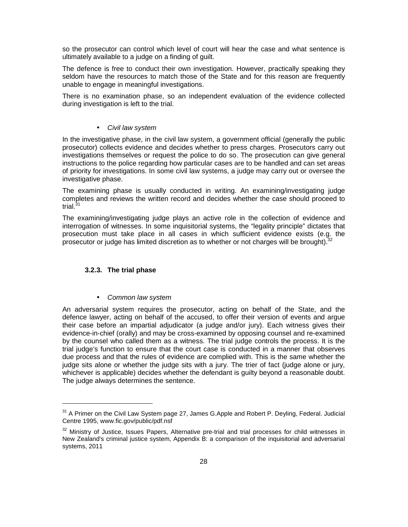so the prosecutor can control which level of court will hear the case and what sentence is ultimately available to a judge on a finding of guilt.

The defence is free to conduct their own investigation. However, practically speaking they seldom have the resources to match those of the State and for this reason are frequently unable to engage in meaningful investigations.

There is no examination phase, so an independent evaluation of the evidence collected during investigation is left to the trial.

### • Civil law system

In the investigative phase, in the civil law system, a government official (generally the public prosecutor) collects evidence and decides whether to press charges. Prosecutors carry out investigations themselves or request the police to do so. The prosecution can give general instructions to the police regarding how particular cases are to be handled and can set areas of priority for investigations. In some civil law systems, a judge may carry out or oversee the investigative phase.

The examining phase is usually conducted in writing. An examining/investigating judge completes and reviews the written record and decides whether the case should proceed to trial.<sup>31</sup>

The examining/investigating judge plays an active role in the collection of evidence and interrogation of witnesses. In some inquisitorial systems, the "legality principle" dictates that prosecution must take place in all cases in which sufficient evidence exists (e.g. the prosecutor or judge has limited discretion as to whether or not charges will be brought).<sup>3</sup>

#### **3.2.3. The trial phase**

1

### • Common law system

An adversarial system requires the prosecutor, acting on behalf of the State, and the defence lawyer, acting on behalf of the accused, to offer their version of events and argue their case before an impartial adjudicator (a judge and/or jury). Each witness gives their evidence-in-chief (orally) and may be cross-examined by opposing counsel and re-examined by the counsel who called them as a witness. The trial judge controls the process. It is the trial judge's function to ensure that the court case is conducted in a manner that observes due process and that the rules of evidence are complied with. This is the same whether the judge sits alone or whether the judge sits with a jury. The trier of fact (judge alone or jury, whichever is applicable) decides whether the defendant is guilty beyond a reasonable doubt. The judge always determines the sentence.

 $31$  A Primer on the Civil Law System page 27, James G. Apple and Robert P. Deyling, Federal. Judicial Centre 1995, www.fic.gov/public/pdf.nsf

 $32$  Ministry of Justice, Issues Papers, Alternative pre-trial and trial processes for child witnesses in New Zealand's criminal justice system, Appendix B: a comparison of the inquisitorial and adversarial systems, 2011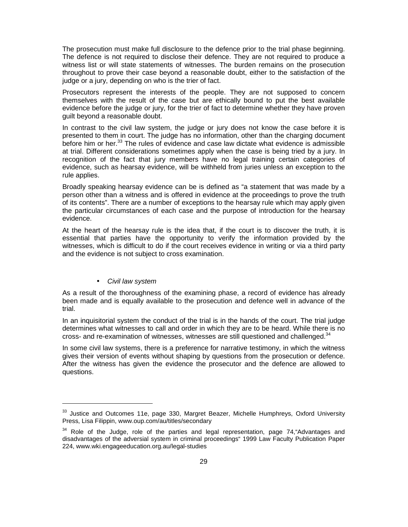The prosecution must make full disclosure to the defence prior to the trial phase beginning. The defence is not required to disclose their defence. They are not required to produce a witness list or will state statements of witnesses. The burden remains on the prosecution throughout to prove their case beyond a reasonable doubt, either to the satisfaction of the judge or a jury, depending on who is the trier of fact.

Prosecutors represent the interests of the people. They are not supposed to concern themselves with the result of the case but are ethically bound to put the best available evidence before the judge or jury, for the trier of fact to determine whether they have proven guilt beyond a reasonable doubt.

In contrast to the civil law system, the judge or jury does not know the case before it is presented to them in court. The judge has no information, other than the charging document before him or her. $33$  The rules of evidence and case law dictate what evidence is admissible at trial. Different considerations sometimes apply when the case is being tried by a jury. In recognition of the fact that jury members have no legal training certain categories of evidence, such as hearsay evidence, will be withheld from juries unless an exception to the rule applies.

Broadly speaking hearsay evidence can be is defined as "a statement that was made by a person other than a witness and is offered in evidence at the proceedings to prove the truth of its contents". There are a number of exceptions to the hearsay rule which may apply given the particular circumstances of each case and the purpose of introduction for the hearsay evidence.

At the heart of the hearsay rule is the idea that, if the court is to discover the truth, it is essential that parties have the opportunity to verify the information provided by the witnesses, which is difficult to do if the court receives evidence in writing or via a third party and the evidence is not subject to cross examination.

#### • Civil law system

1

As a result of the thoroughness of the examining phase, a record of evidence has already been made and is equally available to the prosecution and defence well in advance of the trial.

In an inquisitorial system the conduct of the trial is in the hands of the court. The trial judge determines what witnesses to call and order in which they are to be heard. While there is no cross- and re-examination of witnesses, witnesses are still questioned and challenged. $34$ 

In some civil law systems, there is a preference for narrative testimony, in which the witness gives their version of events without shaping by questions from the prosecution or defence. After the witness has given the evidence the prosecutor and the defence are allowed to questions.

<sup>&</sup>lt;sup>33</sup> Justice and Outcomes 11e, page 330, Margret Beazer, Michelle Humphreys, Oxford University Press, Lisa Filippin, www.oup.com/au/titles/secondary

 $34$  Role of the Judge, role of the parties and legal representation, page 74, Advantages and disadvantages of the adversial system in criminal proceedings" 1999 Law Faculty Publication Paper 224, www.wki.engageeducation.org.au/legal-studies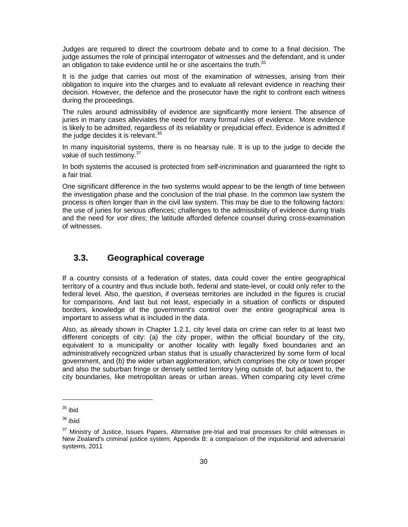Judges are required to direct the courtroom debate and to come to a final decision. The judge assumes the role of principal interrogator of witnesses and the defendant, and is under an obligation to take evidence until he or she ascertains the truth. $35$ 

It is the judge that carries out most of the examination of witnesses, arising from their obligation to inquire into the charges and to evaluate all relevant evidence in reaching their decision. However, the defence and the prosecutor have the right to confront each witness during the proceedings.

The rules around admissibility of evidence are significantly more lenient. The absence of juries in many cases alleviates the need for many formal rules of evidence. More evidence is likely to be admitted, regardless of its reliability or prejudicial effect. Evidence is admitted if the judge decides it is relevant. $36$ 

In many inquisitorial systems, there is no hearsay rule. It is up to the judge to decide the value of such testimony.<sup>37</sup>

In both systems the accused is protected from self-incrimination and guaranteed the right to a fair trial.

One significant difference in the two systems would appear to be the length of time between the investigation phase and the conclusion of the trial phase. In the common law system the process is often longer than in the civil law system. This may be due to the following factors: the use of juries for serious offences; challenges to the admissibility of evidence during trials and the need for voir dires; the latitude afforded defence counsel during cross-examination of witnesses.

### **3.3. Geographical coverage**

If a country consists of a federation of states, data could cover the entire geographical territory of a country and thus include both, federal and state-level, or could only refer to the federal level. Also, the question, if overseas territories are included in the figures is crucial for comparisons. And last but not least, especially in a situation of conflicts or disputed borders, knowledge of the government's control over the entire geographical area is important to assess what is included in the data.

Also, as already shown in Chapter 1.2.1, city level data on crime can refer to at least two different concepts of city: (a) the city proper, within the official boundary of the city, equivalent to a municipality or another locality with legally fixed boundaries and an administratively recognized urban status that is usually characterized by some form of local government, and (b) the wider urban agglomeration, which comprises the city or town proper and also the suburban fringe or densely settled territory lying outside of, but adjacent to, the city boundaries, like metropolitan areas or urban areas. When comparing city level crime

 $35$  ibid

<sup>36</sup> ibiid

<sup>&</sup>lt;sup>37</sup> Ministry of Justice, Issues Papers, Alternative pre-trial and trial processes for child witnesses in New Zealand's criminal justice system, Appendix B: a comparison of the inquisitorial and adversarial systems, 2011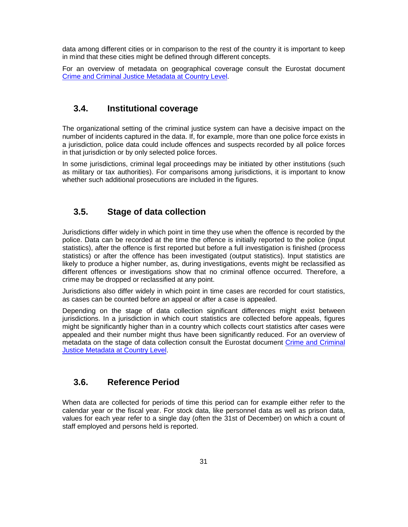data among different cities or in comparison to the rest of the country it is important to keep in mind that these cities might be defined through different concepts.

For an overview of metadata on geographical coverage consult the Eurostat document Crime and Criminal Justice Metadata at Country Level.

### **3.4. Institutional coverage**

The organizational setting of the criminal justice system can have a decisive impact on the number of incidents captured in the data. If, for example, more than one police force exists in a jurisdiction, police data could include offences and suspects recorded by all police forces in that jurisdiction or by only selected police forces.

In some jurisdictions, criminal legal proceedings may be initiated by other institutions (such as military or tax authorities). For comparisons among jurisdictions, it is important to know whether such additional prosecutions are included in the figures.

### **3.5. Stage of data collection**

Jurisdictions differ widely in which point in time they use when the offence is recorded by the police. Data can be recorded at the time the offence is initially reported to the police (input statistics), after the offence is first reported but before a full investigation is finished (process statistics) or after the offence has been investigated (output statistics). Input statistics are likely to produce a higher number, as, during investigations, events might be reclassified as different offences or investigations show that no criminal offence occurred. Therefore, a crime may be dropped or reclassified at any point.

Jurisdictions also differ widely in which point in time cases are recorded for court statistics, as cases can be counted before an appeal or after a case is appealed.

Depending on the stage of data collection significant differences might exist between jurisdictions. In a jurisdiction in which court statistics are collected before appeals, figures might be significantly higher than in a country which collects court statistics after cases were appealed and their number might thus have been significantly reduced. For an overview of metadata on the stage of data collection consult the Eurostat document Crime and Criminal Justice Metadata at Country Level.

### **3.6. Reference Period**

When data are collected for periods of time this period can for example either refer to the calendar year or the fiscal year. For stock data, like personnel data as well as prison data, values for each year refer to a single day (often the 31st of December) on which a count of staff employed and persons held is reported.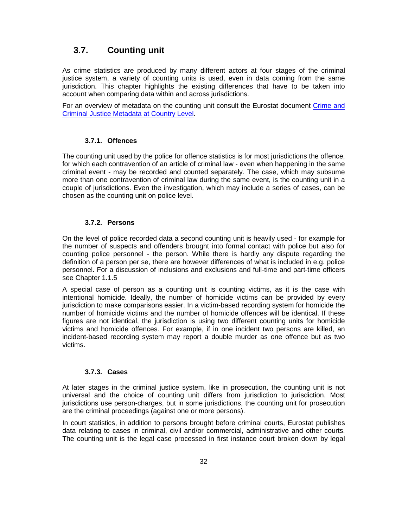### **3.7. Counting unit**

As crime statistics are produced by many different actors at four stages of the criminal justice system, a variety of counting units is used, even in data coming from the same jurisdiction. This chapter highlights the existing differences that have to be taken into account when comparing data within and across jurisdictions.

For an overview of metadata on the counting unit consult the Eurostat document Crime and Criminal Justice Metadata at Country Level.

#### **3.7.1. Offences**

The counting unit used by the police for offence statistics is for most jurisdictions the offence, for which each contravention of an article of criminal law - even when happening in the same criminal event - may be recorded and counted separately. The case, which may subsume more than one contravention of criminal law during the same event, is the counting unit in a couple of jurisdictions. Even the investigation, which may include a series of cases, can be chosen as the counting unit on police level.

#### **3.7.2. Persons**

On the level of police recorded data a second counting unit is heavily used - for example for the number of suspects and offenders brought into formal contact with police but also for counting police personnel - the person. While there is hardly any dispute regarding the definition of a person per se, there are however differences of what is included in e.g. police personnel. For a discussion of inclusions and exclusions and full-time and part-time officers see Chapter 1.1.5

A special case of person as a counting unit is counting victims, as it is the case with intentional homicide. Ideally, the number of homicide victims can be provided by every jurisdiction to make comparisons easier. In a victim-based recording system for homicide the number of homicide victims and the number of homicide offences will be identical. If these figures are not identical, the jurisdiction is using two different counting units for homicide victims and homicide offences. For example, if in one incident two persons are killed, an incident-based recording system may report a double murder as one offence but as two victims.

### **3.7.3. Cases**

At later stages in the criminal justice system, like in prosecution, the counting unit is not universal and the choice of counting unit differs from jurisdiction to jurisdiction. Most jurisdictions use person-charges, but in some jurisdictions, the counting unit for prosecution are the criminal proceedings (against one or more persons).

In court statistics, in addition to persons brought before criminal courts, Eurostat publishes data relating to cases in criminal, civil and/or commercial, administrative and other courts. The counting unit is the legal case processed in first instance court broken down by legal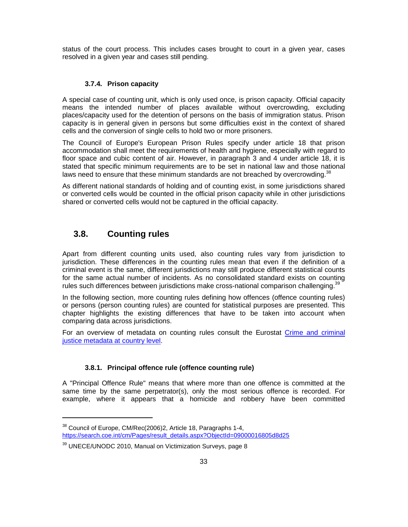status of the court process. This includes cases brought to court in a given year, cases resolved in a given year and cases still pending.

### **3.7.4. Prison capacity**

A special case of counting unit, which is only used once, is prison capacity. Official capacity means the intended number of places available without overcrowding, excluding places/capacity used for the detention of persons on the basis of immigration status. Prison capacity is in general given in persons but some difficulties exist in the context of shared cells and the conversion of single cells to hold two or more prisoners.

The Council of Europe's European Prison Rules specify under article 18 that prison accommodation shall meet the requirements of health and hygiene, especially with regard to floor space and cubic content of air. However, in paragraph 3 and 4 under article 18, it is stated that specific minimum requirements are to be set in national law and those national laws need to ensure that these minimum standards are not breached by overcrowding.<sup>38</sup>

As different national standards of holding and of counting exist, in some jurisdictions shared or converted cells would be counted in the official prison capacity while in other jurisdictions shared or converted cells would not be captured in the official capacity.

### **3.8. Counting rules**

1

Apart from different counting units used, also counting rules vary from jurisdiction to jurisdiction. These differences in the counting rules mean that even if the definition of a criminal event is the same, different jurisdictions may still produce different statistical counts for the same actual number of incidents. As no consolidated standard exists on counting rules such differences between jurisdictions make cross-national comparison challenging.<sup>39</sup>

In the following section, more counting rules defining how offences (offence counting rules) or persons (person counting rules) are counted for statistical purposes are presented. This chapter highlights the existing differences that have to be taken into account when comparing data across jurisdictions.

For an overview of metadata on counting rules consult the Eurostat Crime and criminal justice metadata at country level.

### **3.8.1. Principal offence rule (offence counting rule)**

A "Principal Offence Rule" means that where more than one offence is committed at the same time by the same perpetrator(s), only the most serious offence is recorded. For example, where it appears that a homicide and robbery have been committed

<sup>&</sup>lt;sup>38</sup> Council of Europe, CM/Rec(2006)2, Article 18, Paragraphs 1-4, https://search.coe.int/cm/Pages/result\_details.aspx?ObjectId=09000016805d8d25

<sup>&</sup>lt;sup>39</sup> UNECE/UNODC 2010, Manual on Victimization Surveys, page 8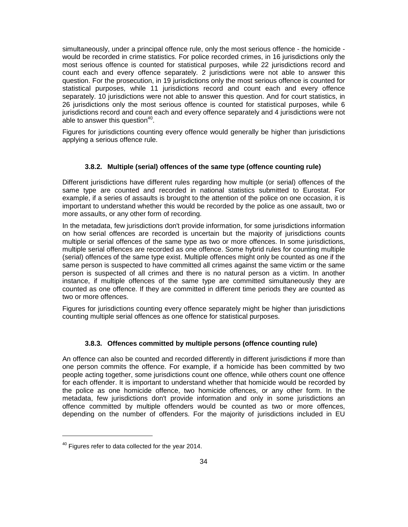simultaneously, under a principal offence rule, only the most serious offence - the homicide would be recorded in crime statistics. For police recorded crimes, in 16 jurisdictions only the most serious offence is counted for statistical purposes, while 22 jurisdictions record and count each and every offence separately. 2 jurisdictions were not able to answer this question. For the prosecution, in 19 jurisdictions only the most serious offence is counted for statistical purposes, while 11 jurisdictions record and count each and every offence separately. 10 jurisdictions were not able to answer this question. And for court statistics, in 26 jurisdictions only the most serious offence is counted for statistical purposes, while 6 jurisdictions record and count each and every offence separately and 4 jurisdictions were not able to answer this question $40$ .

Figures for jurisdictions counting every offence would generally be higher than jurisdictions applying a serious offence rule.

### **3.8.2. Multiple (serial) offences of the same type (offence counting rule)**

Different jurisdictions have different rules regarding how multiple (or serial) offences of the same type are counted and recorded in national statistics submitted to Eurostat. For example, if a series of assaults is brought to the attention of the police on one occasion, it is important to understand whether this would be recorded by the police as one assault, two or more assaults, or any other form of recording.

In the metadata, few jurisdictions don't provide information, for some jurisdictions information on how serial offences are recorded is uncertain but the majority of jurisdictions counts multiple or serial offences of the same type as two or more offences. In some jurisdictions, multiple serial offences are recorded as one offence. Some hybrid rules for counting multiple (serial) offences of the same type exist. Multiple offences might only be counted as one if the same person is suspected to have committed all crimes against the same victim or the same person is suspected of all crimes and there is no natural person as a victim. In another instance, if multiple offences of the same type are committed simultaneously they are counted as one offence. If they are committed in different time periods they are counted as two or more offences.

Figures for jurisdictions counting every offence separately might be higher than jurisdictions counting multiple serial offences as one offence for statistical purposes.

### **3.8.3. Offences committed by multiple persons (offence counting rule)**

An offence can also be counted and recorded differently in different jurisdictions if more than one person commits the offence. For example, if a homicide has been committed by two people acting together, some jurisdictions count one offence, while others count one offence for each offender. It is important to understand whether that homicide would be recorded by the police as one homicide offence, two homicide offences, or any other form. In the metadata, few jurisdictions don't provide information and only in some jurisdictions an offence committed by multiple offenders would be counted as two or more offences, depending on the number of offenders. For the majority of jurisdictions included in EU

-

 $40$  Figures refer to data collected for the year 2014.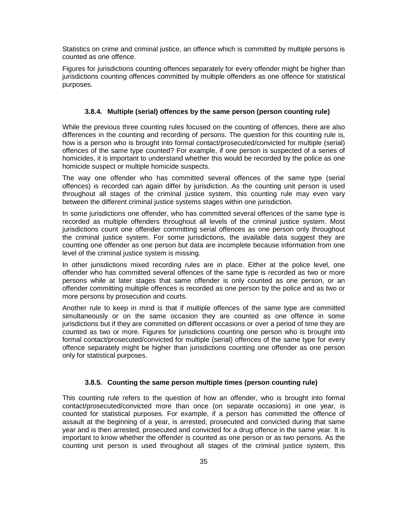Statistics on crime and criminal justice, an offence which is committed by multiple persons is counted as one offence.

Figures for jurisdictions counting offences separately for every offender might be higher than jurisdictions counting offences committed by multiple offenders as one offence for statistical purposes.

### **3.8.4. Multiple (serial) offences by the same person (person counting rule)**

While the previous three counting rules focused on the counting of offences, there are also differences in the counting and recording of persons. The question for this counting rule is, how is a person who is brought into formal contact/prosecuted/convicted for multiple (serial) offences of the same type counted? For example, if one person is suspected of a series of homicides, it is important to understand whether this would be recorded by the police as one homicide suspect or multiple homicide suspects.

The way one offender who has committed several offences of the same type (serial offences) is recorded can again differ by jurisdiction. As the counting unit person is used throughout all stages of the criminal justice system, this counting rule may even vary between the different criminal justice systems stages within one jurisdiction.

In some jurisdictions one offender, who has committed several offences of the same type is recorded as multiple offenders throughout all levels of the criminal justice system. Most jurisdictions count one offender committing serial offences as one person only throughout the criminal justice system. For some jurisdictions, the available data suggest they are counting one offender as one person but data are incomplete because information from one level of the criminal justice system is missing.

In other jurisdictions mixed recording rules are in place. Either at the police level, one offender who has committed several offences of the same type is recorded as two or more persons while at later stages that same offender is only counted as one person, or an offender committing multiple offences is recorded as one person by the police and as two or more persons by prosecution and courts.

Another rule to keep in mind is that if multiple offences of the same type are committed simultaneously or on the same occasion they are counted as one offence in some jurisdictions but if they are committed on different occasions or over a period of time they are counted as two or more. Figures for jurisdictions counting one person who is brought into formal contact/prosecuted/convicted for multiple (serial) offences of the same type for every offence separately might be higher than jurisdictions counting one offender as one person only for statistical purposes.

#### **3.8.5. Counting the same person multiple times (person counting rule)**

This counting rule refers to the question of how an offender, who is brought into formal contact/prosecuted/convicted more than once (on separate occasions) in one year, is counted for statistical purposes. For example, if a person has committed the offence of assault at the beginning of a year, is arrested, prosecuted and convicted during that same year and is then arrested, prosecuted and convicted for a drug offence in the same year. It is important to know whether the offender is counted as one person or as two persons. As the counting unit person is used throughout all stages of the criminal justice system, this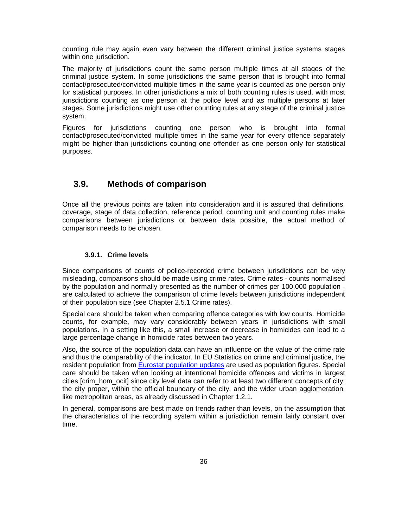counting rule may again even vary between the different criminal justice systems stages within one jurisdiction.

The majority of jurisdictions count the same person multiple times at all stages of the criminal justice system. In some jurisdictions the same person that is brought into formal contact/prosecuted/convicted multiple times in the same year is counted as one person only for statistical purposes. In other jurisdictions a mix of both counting rules is used, with most jurisdictions counting as one person at the police level and as multiple persons at later stages. Some jurisdictions might use other counting rules at any stage of the criminal justice system.

Figures for jurisdictions counting one person who is brought into formal contact/prosecuted/convicted multiple times in the same year for every offence separately might be higher than jurisdictions counting one offender as one person only for statistical purposes.

### **3.9. Methods of comparison**

Once all the previous points are taken into consideration and it is assured that definitions, coverage, stage of data collection, reference period, counting unit and counting rules make comparisons between jurisdictions or between data possible, the actual method of comparison needs to be chosen.

### **3.9.1. Crime levels**

Since comparisons of counts of police-recorded crime between jurisdictions can be very misleading, comparisons should be made using crime rates. Crime rates - counts normalised by the population and normally presented as the number of crimes per 100,000 population are calculated to achieve the comparison of crime levels between jurisdictions independent of their population size (see Chapter 2.5.1 Crime rates).

Special care should be taken when comparing offence categories with low counts. Homicide counts, for example, may vary considerably between years in jurisdictions with small populations. In a setting like this, a small increase or decrease in homicides can lead to a large percentage change in homicide rates between two years.

Also, the source of the population data can have an influence on the value of the crime rate and thus the comparability of the indicator. In EU Statistics on crime and criminal justice, the resident population from Eurostat population updates are used as population figures. Special care should be taken when looking at intentional homicide offences and victims in largest cities [crim\_hom\_ocit] since city level data can refer to at least two different concepts of city: the city proper, within the official boundary of the city, and the wider urban agglomeration, like metropolitan areas, as already discussed in Chapter 1.2.1.

In general, comparisons are best made on trends rather than levels, on the assumption that the characteristics of the recording system within a jurisdiction remain fairly constant over time.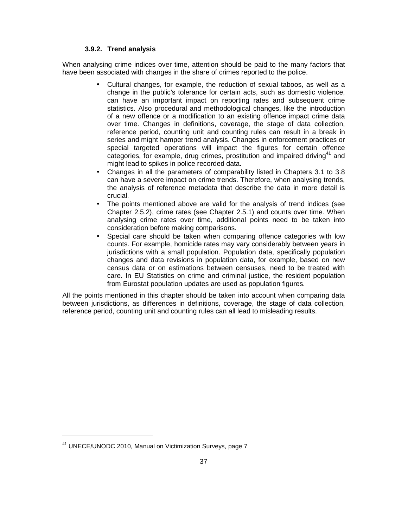### **3.9.2. Trend analysis**

When analysing crime indices over time, attention should be paid to the many factors that have been associated with changes in the share of crimes reported to the police.

- Cultural changes, for example, the reduction of sexual taboos, as well as a change in the public's tolerance for certain acts, such as domestic violence, can have an important impact on reporting rates and subsequent crime statistics. Also procedural and methodological changes, like the introduction of a new offence or a modification to an existing offence impact crime data over time. Changes in definitions, coverage, the stage of data collection, reference period, counting unit and counting rules can result in a break in series and might hamper trend analysis. Changes in enforcement practices or special targeted operations will impact the figures for certain offence categories, for example, drug crimes, prostitution and impaired driving<sup>41</sup> and might lead to spikes in police recorded data.
- Changes in all the parameters of comparability listed in Chapters 3.1 to 3.8 can have a severe impact on crime trends. Therefore, when analysing trends, the analysis of reference metadata that describe the data in more detail is crucial.
- The points mentioned above are valid for the analysis of trend indices (see Chapter 2.5.2), crime rates (see Chapter 2.5.1) and counts over time. When analysing crime rates over time, additional points need to be taken into consideration before making comparisons.
- Special care should be taken when comparing offence categories with low counts. For example, homicide rates may vary considerably between years in jurisdictions with a small population. Population data, specifically population changes and data revisions in population data, for example, based on new census data or on estimations between censuses, need to be treated with care. In EU Statistics on crime and criminal justice, the resident population from Eurostat population updates are used as population figures.

All the points mentioned in this chapter should be taken into account when comparing data between jurisdictions, as differences in definitions, coverage, the stage of data collection, reference period, counting unit and counting rules can all lead to misleading results.

-

<sup>41</sup> UNECE/UNODC 2010, Manual on Victimization Surveys, page 7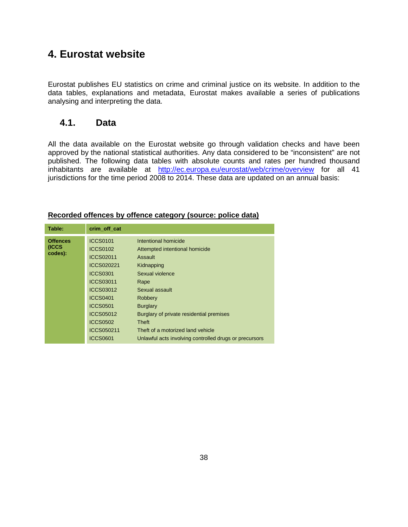# **4. Eurostat website**

Eurostat publishes EU statistics on crime and criminal justice on its website. In addition to the data tables, explanations and metadata, Eurostat makes available a series of publications analysing and interpreting the data.

## **4.1. Data**

All the data available on the Eurostat website go through validation checks and have been approved by the national statistical authorities. Any data considered to be "inconsistent" are not published. The following data tables with absolute counts and rates per hundred thousand inhabitants are available at http://ec.europa.eu/eurostat/web/crime/overview for all 41 jurisdictions for the time period 2008 to 2014. These data are updated on an annual basis:

| Table:           | crim off cat      |                                                        |
|------------------|-------------------|--------------------------------------------------------|
| <b>Offences</b>  | <b>ICCS0101</b>   | Intentional homicide                                   |
| (ICCS<br>codes): | <b>ICCS0102</b>   | Attempted intentional homicide                         |
|                  | <b>ICCS02011</b>  | Assault                                                |
|                  | <b>ICCS020221</b> | Kidnapping                                             |
|                  | <b>ICCS0301</b>   | Sexual violence                                        |
|                  | ICCS03011         | Rape                                                   |
|                  | ICCS03012         | Sexual assault                                         |
|                  | <b>ICCS0401</b>   | Robbery                                                |
|                  | <b>ICCS0501</b>   | <b>Burglary</b>                                        |
|                  | ICCS05012         | Burglary of private residential premises               |
|                  | <b>ICCS0502</b>   | <b>Theft</b>                                           |
|                  | ICCS050211        | Theft of a motorized land vehicle                      |
|                  | <b>ICCS0601</b>   | Unlawful acts involving controlled drugs or precursors |

### **Recorded offences by offence category (source: police data)**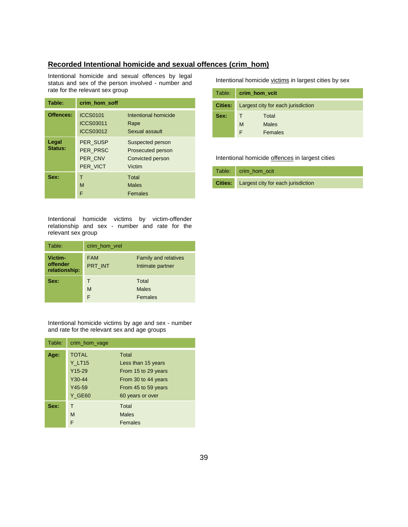### **Recorded Intentional homicide and sexual offences (crim\_hom)**

Intentional homicide and sexual offences by legal status and sex of the person involved - number and rate for the relevant sex group

| Table:           | crim hom soff                               |                                                                     |
|------------------|---------------------------------------------|---------------------------------------------------------------------|
| Offences:        | <b>ICCS0101</b><br>ICCS03011<br>ICCS03012   | Intentional homicide<br>Rape<br>Sexual assault                      |
| Legal<br>Status: | PER_SUSP<br>PER PRSC<br>PER CNV<br>PER VICT | Suspected person<br>Prosecuted person<br>Convicted person<br>Victim |
| Sex:             | т<br>M<br>F                                 | Total<br><b>Males</b><br>Females                                    |

Intentional homicide victims by victim-offender relationship and sex - number and rate for the relevant sex group

| Table:                               | crim hom vrel         |                                                 |
|--------------------------------------|-----------------------|-------------------------------------------------|
| Victim-<br>offender<br>relationship: | <b>FAM</b><br>PRT INT | <b>Family and relatives</b><br>Intimate partner |
| Sex:                                 | M<br>F                | Total<br><b>Males</b><br>Females                |

Intentional homicide victims by age and sex - number and rate for the relevant sex and age groups

| Table: | crim_hom_vage                                                                            |                                                                                                                      |
|--------|------------------------------------------------------------------------------------------|----------------------------------------------------------------------------------------------------------------------|
| Age:   | <b>TOTAL</b><br>$Y_L$ T <sub>15</sub><br>$Y15-29$<br>Y30-44<br>$Y45-59$<br><b>Y GE60</b> | Total<br>Less than 15 years<br>From 15 to 29 years<br>From 30 to 44 years<br>From 45 to 59 years<br>60 years or over |
| Sex:   | т<br>M<br>F                                                                              | Total<br><b>Males</b><br>Females                                                                                     |

Intentional homicide victims in largest cities by sex

| Table:  | crim hom vcit |                                    |  |
|---------|---------------|------------------------------------|--|
| Cities: |               | Largest city for each jurisdiction |  |
| Sex:    |               | Total                              |  |
|         | M             | <b>Males</b>                       |  |
|         |               | Females                            |  |

Intentional homicide offences in largest cities

| Table: crim_hom_ocit                       |
|--------------------------------------------|
| Cities: Largest city for each jurisdiction |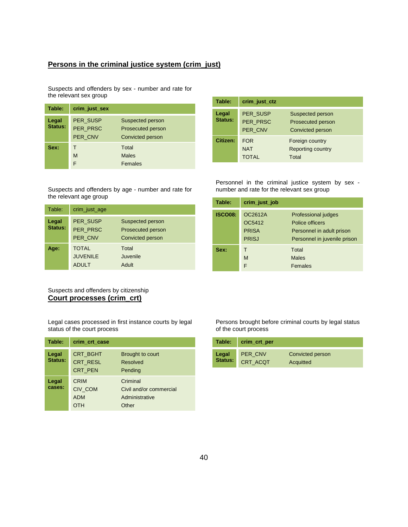### **Persons in the criminal justice system (crim\_just)**

Suspects and offenders by sex - number and rate for the relevant sex group

| Table:           | crim_just_sex                          |                                                           |
|------------------|----------------------------------------|-----------------------------------------------------------|
| Legal<br>Status: | <b>PER SUSP</b><br>PER PRSC<br>PER CNV | Suspected person<br>Prosecuted person<br>Convicted person |
| Sex:             | т<br>M<br>F                            | Total<br><b>Males</b><br>Females                          |

| Table:           | crim_just_ctz                            |                                                                  |
|------------------|------------------------------------------|------------------------------------------------------------------|
| Legal<br>Status: | PER SUSP<br>PER PRSC<br>PER CNV          | Suspected person<br>Prosecuted person<br><b>Convicted person</b> |
| Citizen:         | <b>FOR</b><br><b>NAT</b><br><b>TOTAL</b> | Foreign country<br><b>Reporting country</b><br>Total             |

Personnel in the criminal justice system by sex number and rate for the relevant sex group

| Table:           | crim_just_age                                   |                                                           |
|------------------|-------------------------------------------------|-----------------------------------------------------------|
| Legal<br>Status: | PER SUSP<br>PER PRSC<br>PER CNV                 | Suspected person<br>Prosecuted person<br>Convicted person |
| Age:             | <b>TOTAL</b><br><b>JUVENILE</b><br><b>ADULT</b> | Total<br>Juvenile<br>Adult                                |

Suspects and offenders by age - number and rate for

Suspects and offenders by citizenship **Court processes (crim\_crt)**

the relevant age group

Legal cases processed in first instance courts by legal status of the court process

| Table:           | crim_crt_case                                        |                                                                |
|------------------|------------------------------------------------------|----------------------------------------------------------------|
| Legal<br>Status: | <b>CRT BGHT</b><br><b>CRT RESL</b><br><b>CRT PEN</b> | Brought to court<br><b>Resolved</b><br>Pending                 |
| Legal<br>cases:  | <b>CRIM</b><br>CIV COM<br><b>ADM</b><br>OTH          | Criminal<br>Civil and/or commercial<br>Administrative<br>Other |

| Table:         | crim_just_job                                     |                                                                                                     |
|----------------|---------------------------------------------------|-----------------------------------------------------------------------------------------------------|
| <b>ISCO08:</b> | OC2612A<br>OC5412<br><b>PRISA</b><br><b>PRISJ</b> | Professional judges<br>Police officers<br>Personnel in adult prison<br>Personnel in juvenile prison |
| Sex:           | т<br>M<br>F                                       | Total<br><b>Males</b><br>Females                                                                    |

Persons brought before criminal courts by legal status of the court process

| Table:  | crim_crt_per   |                  |
|---------|----------------|------------------|
| Legal   | <b>PER CNV</b> | Convicted person |
| Status: | CRT ACQT       | Acquitted        |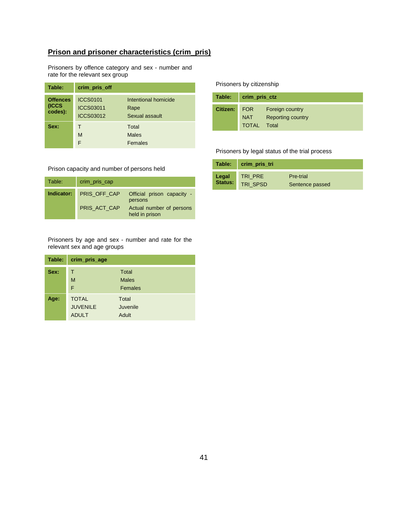### **Prison and prisoner characteristics (crim\_pris)**

Prisoners by offence category and sex - number and rate for the relevant sex group

| Table:                              | crim_pris_off                                           |                                                |
|-------------------------------------|---------------------------------------------------------|------------------------------------------------|
| <b>Offences</b><br>(ICCS<br>codes): | <b>ICCS0101</b><br><b>ICCS03011</b><br><b>ICCS03012</b> | Intentional homicide<br>Rape<br>Sexual assault |
| Sex:                                | M<br>F                                                  | Total<br><b>Males</b><br>Females               |

#### Prisoners by citizenship

| Table:   | crim_pris_ctz |                          |
|----------|---------------|--------------------------|
| Citizen: | <b>FOR</b>    | Foreign country          |
|          | <b>NAT</b>    | <b>Reporting country</b> |
|          | <b>TOTAL</b>  | Total                    |

Prisoners by legal status of the trial process

|         | Table: crim_pris_tri |                 |
|---------|----------------------|-----------------|
| Legal   | TRI PRE              | Pre-trial       |
| Status: | TRI SPSD             | Sentence passed |

Prison capacity and number of persons held

| Table: | crim_pris_cap           |                                            |
|--------|-------------------------|--------------------------------------------|
|        | Indicator: PRIS OFF CAP | Official prison capacity -<br>persons      |
|        | PRIS ACT CAP            | Actual number of persons<br>held in prison |

Prisoners by age and sex - number and rate for the relevant sex and age groups

| Table: | crim_pris_age                                   |                                  |
|--------|-------------------------------------------------|----------------------------------|
| Sex:   | т<br>M<br>F                                     | Total<br><b>Males</b><br>Females |
| Age:   | <b>TOTAL</b><br><b>JUVENILE</b><br><b>ADULT</b> | Total<br>Juvenile<br>Adult       |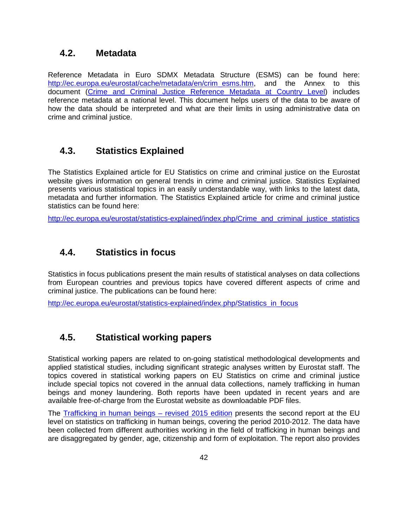### **4.2. Metadata**

Reference Metadata in Euro SDMX Metadata Structure (ESMS) can be found here: http://ec.europa.eu/eurostat/cache/metadata/en/crim\_esms.htm, and the Annex to this document (Crime and Criminal Justice Reference Metadata at Country Level) includes reference metadata at a national level. This document helps users of the data to be aware of how the data should be interpreted and what are their limits in using administrative data on crime and criminal justice.

# **4.3. Statistics Explained**

The Statistics Explained article for EU Statistics on crime and criminal justice on the Eurostat website gives information on general trends in crime and criminal justice. Statistics Explained presents various statistical topics in an easily understandable way, with links to the latest data, metadata and further information. The Statistics Explained article for crime and criminal justice statistics can be found here:

http://ec.europa.eu/eurostat/statistics-explained/index.php/Crime\_and\_criminal\_justice\_statistics

# **4.4. Statistics in focus**

Statistics in focus publications present the main results of statistical analyses on data collections from European countries and previous topics have covered different aspects of crime and criminal justice. The publications can be found here:

http://ec.europa.eu/eurostat/statistics-explained/index.php/Statistics\_in\_focus

# **4.5. Statistical working papers**

Statistical working papers are related to on-going statistical methodological developments and applied statistical studies, including significant strategic analyses written by Eurostat staff. The topics covered in statistical working papers on EU Statistics on crime and criminal justice include special topics not covered in the annual data collections, namely trafficking in human beings and money laundering. Both reports have been updated in recent years and are available free-of-charge from the Eurostat website as downloadable PDF files.

The Trafficking in human beings – revised 2015 edition presents the second report at the EU level on statistics on trafficking in human beings, covering the period 2010-2012. The data have been collected from different authorities working in the field of trafficking in human beings and are disaggregated by gender, age, citizenship and form of exploitation. The report also provides